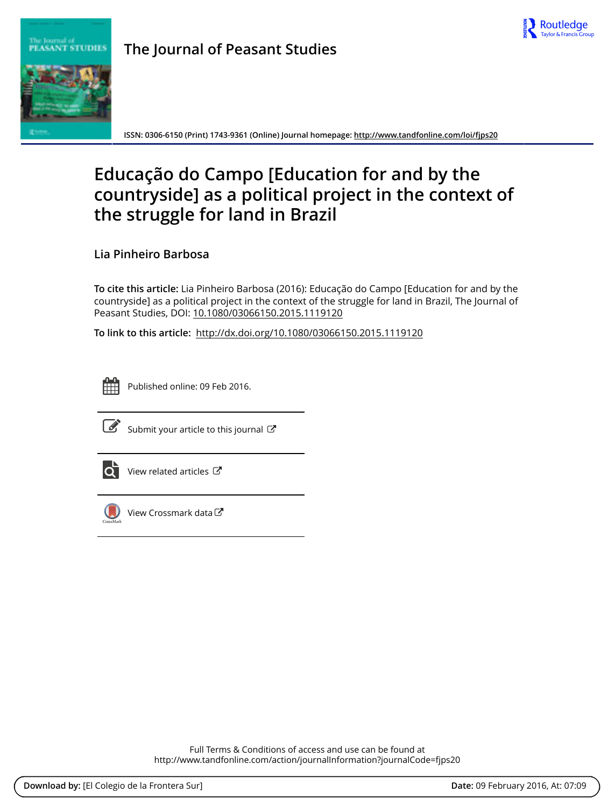



**ISSN: 0306-6150 (Print) 1743-9361 (Online) Journal homepage:<http://www.tandfonline.com/loi/fjps20>**

# **Educação do Campo [Education for and by the countryside] as a political project in the context of the struggle for land in Brazil**

**Lia Pinheiro Barbosa**

**To cite this article:** Lia Pinheiro Barbosa (2016): Educação do Campo [Education for and by the countryside] as a political project in the context of the struggle for land in Brazil, The Journal of Peasant Studies, DOI: [10.1080/03066150.2015.1119120](http://www.tandfonline.com/action/showCitFormats?doi=10.1080/03066150.2015.1119120)

**To link to this article:** <http://dx.doi.org/10.1080/03066150.2015.1119120>



Published online: 09 Feb 2016.



 $\overline{\mathscr{L}}$  [Submit your article to this journal](http://www.tandfonline.com/action/authorSubmission?journalCode=fjps20&page=instructions)  $\mathbb{F}$ 



 $\overrightarrow{O}$  [View related articles](http://www.tandfonline.com/doi/mlt/10.1080/03066150.2015.1119120)  $\overrightarrow{C}$ 



[View Crossmark data](http://crossmark.crossref.org/dialog/?doi=10.1080/03066150.2015.1119120&domain=pdf&date_stamp=2016-02-09)  $\sigma$ 

Full Terms & Conditions of access and use can be found at <http://www.tandfonline.com/action/journalInformation?journalCode=fjps20>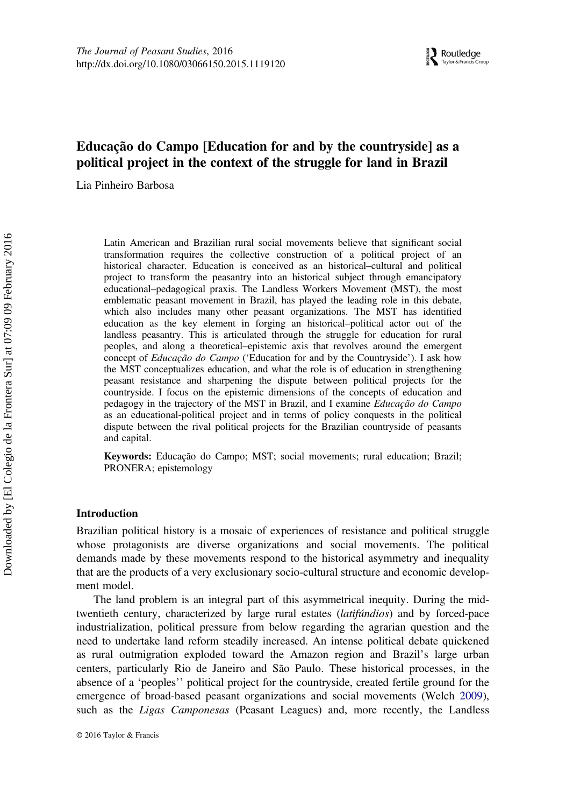# <span id="page-1-0"></span>Educação do Campo [Education for and by the countryside] as a political project in the context of the struggle for land in Brazil

Lia Pinheiro Barbosa

Latin American and Brazilian rural social movements believe that significant social transformation requires the collective construction of a political project of an historical character. Education is conceived as an historical–cultural and political project to transform the peasantry into an historical subject through emancipatory educational–pedagogical praxis. The Landless Workers Movement (MST), the most emblematic peasant movement in Brazil, has played the leading role in this debate, which also includes many other peasant organizations. The MST has identified education as the key element in forging an historical–political actor out of the landless peasantry. This is articulated through the struggle for education for rural peoples, and along a theoretical–epistemic axis that revolves around the emergent concept of Educação do Campo ('Education for and by the Countryside'). I ask how the MST conceptualizes education, and what the role is of education in strengthening peasant resistance and sharpening the dispute between political projects for the countryside. I focus on the epistemic dimensions of the concepts of education and pedagogy in the trajectory of the MST in Brazil, and I examine Educação do Campo as an educational-political project and in terms of policy conquests in the political dispute between the rival political projects for the Brazilian countryside of peasants and capital.

Keywords: Educação do Campo; MST; social movements; rural education; Brazil; PRONERA; epistemology

#### Introduction

Brazilian political history is a mosaic of experiences of resistance and political struggle whose protagonists are diverse organizations and social movements. The political demands made by these movements respond to the historical asymmetry and inequality that are the products of a very exclusionary socio-cultural structure and economic development model.

The land problem is an integral part of this asymmetrical inequity. During the midtwentieth century, characterized by large rural estates (latifúndios) and by forced-pace industrialization, political pressure from below regarding the agrarian question and the need to undertake land reform steadily increased. An intense political debate quickened as rural outmigration exploded toward the Amazon region and Brazil's large urban centers, particularly Rio de Janeiro and São Paulo. These historical processes, in the absence of a 'peoples'' political project for the countryside, created fertile ground for the emergence of broad-based peasant organizations and social movements (Welch [2009\)](#page-26-0), such as the *Ligas Camponesas* (Peasant Leagues) and, more recently, the Landless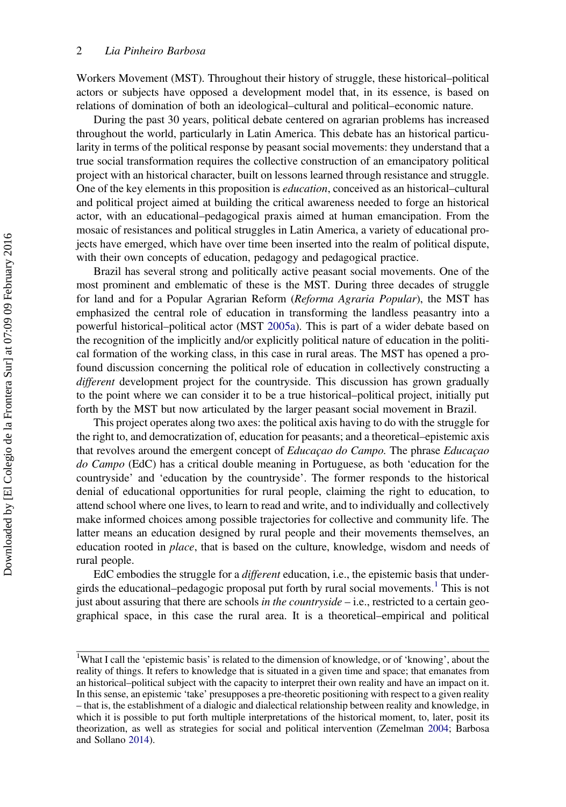<span id="page-2-0"></span>Workers Movement (MST). Throughout their history of struggle, these historical–political actors or subjects have opposed a development model that, in its essence, is based on relations of domination of both an ideological–cultural and political–economic nature.

During the past 30 years, political debate centered on agrarian problems has increased throughout the world, particularly in Latin America. This debate has an historical particularity in terms of the political response by peasant social movements: they understand that a true social transformation requires the collective construction of an emancipatory political project with an historical character, built on lessons learned through resistance and struggle. One of the key elements in this proposition is education, conceived as an historical–cultural and political project aimed at building the critical awareness needed to forge an historical actor, with an educational–pedagogical praxis aimed at human emancipation. From the mosaic of resistances and political struggles in Latin America, a variety of educational projects have emerged, which have over time been inserted into the realm of political dispute, with their own concepts of education, pedagogy and pedagogical practice.

Brazil has several strong and politically active peasant social movements. One of the most prominent and emblematic of these is the MST. During three decades of struggle for land and for a Popular Agrarian Reform (Reforma Agraria Popular), the MST has emphasized the central role of education in transforming the landless peasantry into a powerful historical–political actor (MST [2005a\)](#page-25-0). This is part of a wider debate based on the recognition of the implicitly and/or explicitly political nature of education in the political formation of the working class, in this case in rural areas. The MST has opened a profound discussion concerning the political role of education in collectively constructing a different development project for the countryside. This discussion has grown gradually to the point where we can consider it to be a true historical–political project, initially put forth by the MST but now articulated by the larger peasant social movement in Brazil.

This project operates along two axes: the political axis having to do with the struggle for the right to, and democratization of, education for peasants; and a theoretical–epistemic axis that revolves around the emergent concept of Educaçao do Campo. The phrase Educaçao do Campo (EdC) has a critical double meaning in Portuguese, as both 'education for the countryside' and 'education by the countryside'. The former responds to the historical denial of educational opportunities for rural people, claiming the right to education, to attend school where one lives, to learn to read and write, and to individually and collectively make informed choices among possible trajectories for collective and community life. The latter means an education designed by rural people and their movements themselves, an education rooted in *place*, that is based on the culture, knowledge, wisdom and needs of rural people.

EdC embodies the struggle for a *different* education, i.e., the epistemic basis that undergirds the educational–pedagogic proposal put forth by rural social movements.<sup>1</sup> This is not just about assuring that there are schools in the countryside  $-$  i.e., restricted to a certain geographical space, in this case the rural area. It is a theoretical–empirical and political

<sup>&</sup>lt;sup>1</sup>What I call the 'epistemic basis' is related to the dimension of knowledge, or of 'knowing', about the reality of things. It refers to knowledge that is situated in a given time and space; that emanates from an historical–political subject with the capacity to interpret their own reality and have an impact on it. In this sense, an epistemic 'take' presupposes a pre-theoretic positioning with respect to a given reality – that is, the establishment of a dialogic and dialectical relationship between reality and knowledge, in which it is possible to put forth multiple interpretations of the historical moment, to, later, posit its theorization, as well as strategies for social and political intervention (Zemelman [2004](#page-26-0); Barbosa and Sollano [2014](#page-24-0)).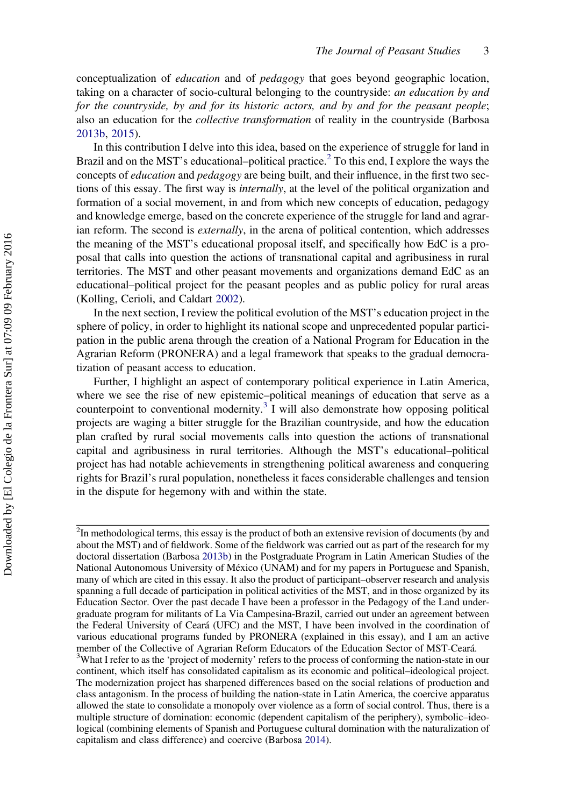<span id="page-3-0"></span>conceptualization of education and of pedagogy that goes beyond geographic location, taking on a character of socio-cultural belonging to the countryside: an education by and for the countryside, by and for its historic actors, and by and for the peasant people; also an education for the collective transformation of reality in the countryside (Barbosa [2013b,](#page-24-0) [2015](#page-24-0)).

In this contribution I delve into this idea, based on the experience of struggle for land in Brazil and on the MST's educational–political practice.<sup>2</sup> To this end, I explore the ways the concepts of *education* and *pedagogy* are being built, and their influence, in the first two sections of this essay. The first way is internally, at the level of the political organization and formation of a social movement, in and from which new concepts of education, pedagogy and knowledge emerge, based on the concrete experience of the struggle for land and agrarian reform. The second is *externally*, in the arena of political contention, which addresses the meaning of the MST's educational proposal itself, and specifically how EdC is a proposal that calls into question the actions of transnational capital and agribusiness in rural territories. The MST and other peasant movements and organizations demand EdC as an educational–political project for the peasant peoples and as public policy for rural areas (Kolling, Cerioli, and Caldart [2002](#page-25-0)).

In the next section, I review the political evolution of the MST's education project in the sphere of policy, in order to highlight its national scope and unprecedented popular participation in the public arena through the creation of a National Program for Education in the Agrarian Reform (PRONERA) and a legal framework that speaks to the gradual democratization of peasant access to education.

Further, I highlight an aspect of contemporary political experience in Latin America, where we see the rise of new epistemic–political meanings of education that serve as a counterpoint to conventional modernity.<sup>3</sup> I will also demonstrate how opposing political projects are waging a bitter struggle for the Brazilian countryside, and how the education plan crafted by rural social movements calls into question the actions of transnational capital and agribusiness in rural territories. Although the MST's educational–political project has had notable achievements in strengthening political awareness and conquering rights for Brazil's rural population, nonetheless it faces considerable challenges and tension in the dispute for hegemony with and within the state.

 $2$ In methodological terms, this essay is the product of both an extensive revision of documents (by and about the MST) and of fieldwork. Some of the fieldwork was carried out as part of the research for my doctoral dissertation (Barbosa [2013b\)](#page-24-0) in the Postgraduate Program in Latin American Studies of the National Autonomous University of México (UNAM) and for my papers in Portuguese and Spanish, many of which are cited in this essay. It also the product of participant–observer research and analysis spanning a full decade of participation in political activities of the MST, and in those organized by its Education Sector. Over the past decade I have been a professor in the Pedagogy of the Land undergraduate program for militants of La Via Campesina-Brazil, carried out under an agreement between the Federal University of Ceará (UFC) and the MST, I have been involved in the coordination of various educational programs funded by PRONERA (explained in this essay), and I am an active member of the Collective of Agrarian Reform Educators of the Education Sector of MST-Ceará.

<sup>&</sup>lt;sup>3</sup>What I refer to as the 'project of modernity' refers to the process of conforming the nation-state in our continent, which itself has consolidated capitalism as its economic and political–ideological project. The modernization project has sharpened differences based on the social relations of production and class antagonism. In the process of building the nation-state in Latin America, the coercive apparatus allowed the state to consolidate a monopoly over violence as a form of social control. Thus, there is a multiple structure of domination: economic (dependent capitalism of the periphery), symbolic–ideological (combining elements of Spanish and Portuguese cultural domination with the naturalization of capitalism and class difference) and coercive (Barbosa [2014\)](#page-24-0).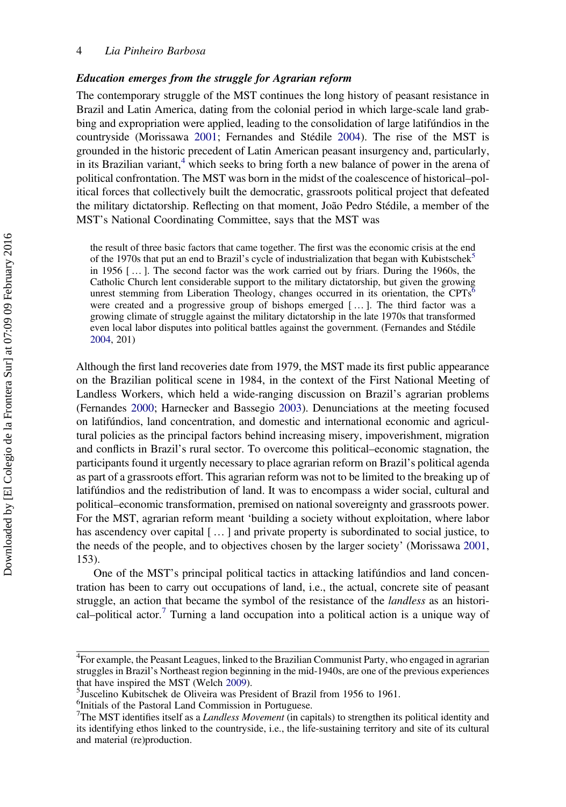## <span id="page-4-0"></span>Education emerges from the struggle for Agrarian reform

The contemporary struggle of the MST continues the long history of peasant resistance in Brazil and Latin America, dating from the colonial period in which large-scale land grabbing and expropriation were applied, leading to the consolidation of large latifúndios in the countryside (Morissawa [2001](#page-25-0); Fernandes and Stédile [2004](#page-25-0)). The rise of the MST is grounded in the historic precedent of Latin American peasant insurgency and, particularly, in its Brazilian variant, $4$  which seeks to bring forth a new balance of power in the arena of political confrontation. The MST was born in the midst of the coalescence of historical–political forces that collectively built the democratic, grassroots political project that defeated the military dictatorship. Reflecting on that moment, João Pedro Stédile, a member of the MST's National Coordinating Committee, says that the MST was

the result of three basic factors that came together. The first was the economic crisis at the end of the 1970s that put an end to Brazil's cycle of industrialization that began with Kubistschek<sup>5</sup> in 1956 [ … ]. The second factor was the work carried out by friars. During the 1960s, the Catholic Church lent considerable support to the military dictatorship, but given the growing unrest stemming from Liberation Theology, changes occurred in its orientation, the CPTs<sup>6</sup> were created and a progressive group of bishops emerged [ … ]. The third factor was a growing climate of struggle against the military dictatorship in the late 1970s that transformed even local labor disputes into political battles against the government. (Fernandes and Stédile [2004,](#page-25-0) 201)

Although the first land recoveries date from 1979, the MST made its first public appearance on the Brazilian political scene in 1984, in the context of the First National Meeting of Landless Workers, which held a wide-ranging discussion on Brazil's agrarian problems (Fernandes [2000](#page-25-0); Harnecker and Bassegio [2003](#page-25-0)). Denunciations at the meeting focused on latifúndios, land concentration, and domestic and international economic and agricultural policies as the principal factors behind increasing misery, impoverishment, migration and conflicts in Brazil's rural sector. To overcome this political–economic stagnation, the participants found it urgently necessary to place agrarian reform on Brazil's political agenda as part of a grassroots effort. This agrarian reform was not to be limited to the breaking up of latifúndios and the redistribution of land. It was to encompass a wider social, cultural and political–economic transformation, premised on national sovereignty and grassroots power. For the MST, agrarian reform meant 'building a society without exploitation, where labor has ascendency over capital [...] and private property is subordinated to social justice, to the needs of the people, and to objectives chosen by the larger society' (Morissawa [2001](#page-25-0), 153).

One of the MST's principal political tactics in attacking latifúndios and land concentration has been to carry out occupations of land, i.e., the actual, concrete site of peasant struggle, an action that became the symbol of the resistance of the landless as an historical–political actor.<sup>7</sup> Turning a land occupation into a political action is a unique way of

<sup>&</sup>lt;sup>4</sup> For example, the Peasant Leagues, linked to the Brazilian Communist Party, who engaged in agrarian struggles in Brazil's Northeast region beginning in the mid-1940s, are one of the previous experiences that have inspired the MST (Welch [2009\)](#page-26-0).

<sup>&</sup>lt;sup>5</sup>Juscelino Kubitschek de Oliveira was President of Brazil from 1956 to 1961.

<sup>&</sup>lt;sup>6</sup>Initials of the Pastoral Land Commission in Portuguese.

<sup>&</sup>lt;sup>7</sup>The MST identifies itself as a *Landless Movement* (in capitals) to strengthen its political identity and its identifying ethos linked to the countryside, i.e., the life-sustaining territory and site of its cultural and material (re)production.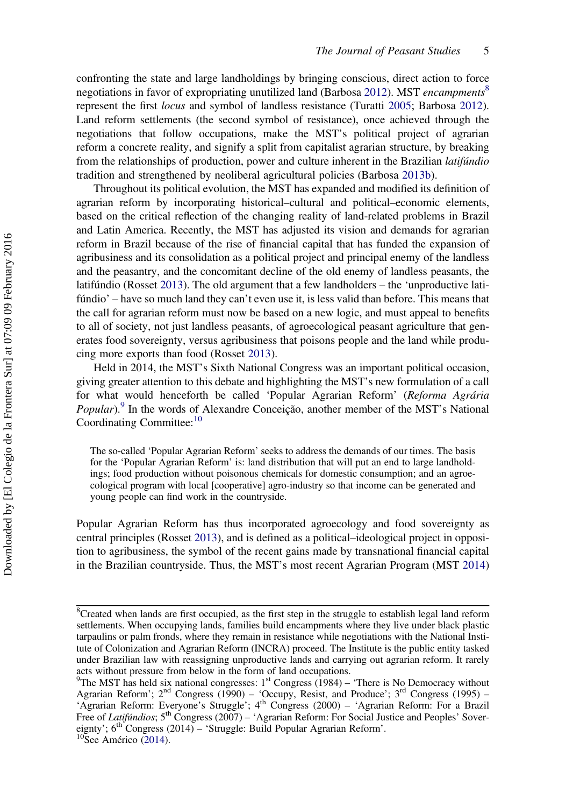<span id="page-5-0"></span>confronting the state and large landholdings by bringing conscious, direct action to force negotiations in favor of expropriating unutilized land (Barbosa [2012\)](#page-24-0). MST encampments<sup>8</sup> represent the first locus and symbol of landless resistance (Turatti [2005;](#page-26-0) Barbosa [2012\)](#page-24-0). Land reform settlements (the second symbol of resistance), once achieved through the negotiations that follow occupations, make the MST's political project of agrarian reform a concrete reality, and signify a split from capitalist agrarian structure, by breaking from the relationships of production, power and culture inherent in the Brazilian *latifundio* tradition and strengthened by neoliberal agricultural policies (Barbosa [2013b\)](#page-24-0).

Throughout its political evolution, the MST has expanded and modified its definition of agrarian reform by incorporating historical–cultural and political–economic elements, based on the critical reflection of the changing reality of land-related problems in Brazil and Latin America. Recently, the MST has adjusted its vision and demands for agrarian reform in Brazil because of the rise of financial capital that has funded the expansion of agribusiness and its consolidation as a political project and principal enemy of the landless and the peasantry, and the concomitant decline of the old enemy of landless peasants, the latifúndio (Rosset [2013\)](#page-25-0). The old argument that a few landholders – the 'unproductive latifúndio' – have so much land they can't even use it, is less valid than before. This means that the call for agrarian reform must now be based on a new logic, and must appeal to benefits to all of society, not just landless peasants, of agroecological peasant agriculture that generates food sovereignty, versus agribusiness that poisons people and the land while producing more exports than food (Rosset [2013](#page-25-0)).

Held in 2014, the MST's Sixth National Congress was an important political occasion, giving greater attention to this debate and highlighting the MST's new formulation of a call for what would henceforth be called 'Popular Agrarian Reform' (Reforma Agrária Popular).<sup>9</sup> In the words of Alexandre Conceição, another member of the MST's National Coordinating Committee:<sup>10</sup>

The so-called 'Popular Agrarian Reform' seeks to address the demands of our times. The basis for the 'Popular Agrarian Reform' is: land distribution that will put an end to large landholdings; food production without poisonous chemicals for domestic consumption; and an agroecological program with local [cooperative] agro-industry so that income can be generated and young people can find work in the countryside.

Popular Agrarian Reform has thus incorporated agroecology and food sovereignty as central principles (Rosset [2013\)](#page-25-0), and is defined as a political–ideological project in opposition to agribusiness, the symbol of the recent gains made by transnational financial capital in the Brazilian countryside. Thus, the MST's most recent Agrarian Program (MST [2014](#page-25-0))

<sup>&</sup>lt;sup>8</sup>Created when lands are first occupied, as the first step in the struggle to establish legal land reform settlements. When occupying lands, families build encampments where they live under black plastic tarpaulins or palm fronds, where they remain in resistance while negotiations with the National Institute of Colonization and Agrarian Reform (INCRA) proceed. The Institute is the public entity tasked under Brazilian law with reassigning unproductive lands and carrying out agrarian reform. It rarely acts without pressure from below in the form of land occupations.

<sup>&</sup>lt;sup>9</sup>The MST has held six national congresses: 1<sup>st</sup> Congress (1984) – 'There is No Democracy without Agrarian Reform';  $2<sup>nd</sup>$  Congress (1990) – 'Occupy, Resist, and Produce';  $3<sup>rd</sup>$  Congress (1995) – 'Agrarian Reform: Everyone's Struggle'; 4<sup>th</sup> Congress (2000) – 'Agrarian Reform: For a Brazil Free of Latifundios; 5<sup>th</sup> Congress (2007) – 'Agrarian Reform: For Social Justice and Peoples' Sovereignty';  $6<sup>th</sup>$  Congress ([2014\)](#page-24-0) – 'Struggle: Build Popular Agrarian Reform'.<br><sup>10</sup>See Américo (2014).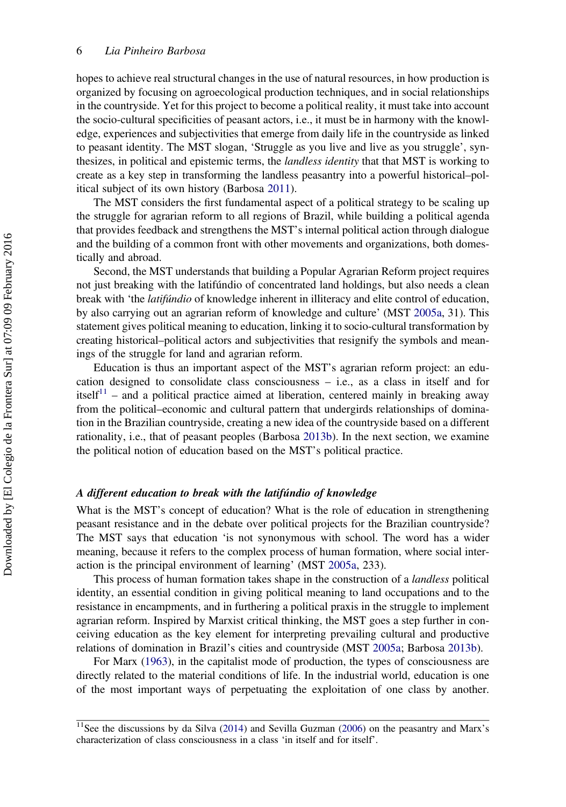<span id="page-6-0"></span>hopes to achieve real structural changes in the use of natural resources, in how production is organized by focusing on agroecological production techniques, and in social relationships in the countryside. Yet for this project to become a political reality, it must take into account the socio-cultural specificities of peasant actors, i.e., it must be in harmony with the knowledge, experiences and subjectivities that emerge from daily life in the countryside as linked to peasant identity. The MST slogan, 'Struggle as you live and live as you struggle', synthesizes, in political and epistemic terms, the landless identity that that MST is working to create as a key step in transforming the landless peasantry into a powerful historical–political subject of its own history (Barbosa [2011](#page-24-0)).

The MST considers the first fundamental aspect of a political strategy to be scaling up the struggle for agrarian reform to all regions of Brazil, while building a political agenda that provides feedback and strengthens the MST's internal political action through dialogue and the building of a common front with other movements and organizations, both domestically and abroad.

Second, the MST understands that building a Popular Agrarian Reform project requires not just breaking with the latifúndio of concentrated land holdings, but also needs a clean break with 'the *latifundio* of knowledge inherent in illiteracy and elite control of education, by also carrying out an agrarian reform of knowledge and culture' (MST [2005a](#page-25-0), 31). This statement gives political meaning to education, linking it to socio-cultural transformation by creating historical–political actors and subjectivities that resignify the symbols and meanings of the struggle for land and agrarian reform.

Education is thus an important aspect of the MST's agrarian reform project: an education designed to consolidate class consciousness – i.e., as a class in itself and for itself $11$  – and a political practice aimed at liberation, centered mainly in breaking away from the political–economic and cultural pattern that undergirds relationships of domination in the Brazilian countryside, creating a new idea of the countryside based on a different rationality, i.e., that of peasant peoples (Barbosa [2013b](#page-24-0)). In the next section, we examine the political notion of education based on the MST's political practice.

### A different education to break with the latifúndio of knowledge

What is the MST's concept of education? What is the role of education in strengthening peasant resistance and in the debate over political projects for the Brazilian countryside? The MST says that education 'is not synonymous with school. The word has a wider meaning, because it refers to the complex process of human formation, where social interaction is the principal environment of learning' (MST [2005a,](#page-25-0) 233).

This process of human formation takes shape in the construction of a landless political identity, an essential condition in giving political meaning to land occupations and to the resistance in encampments, and in furthering a political praxis in the struggle to implement agrarian reform. Inspired by Marxist critical thinking, the MST goes a step further in conceiving education as the key element for interpreting prevailing cultural and productive relations of domination in Brazil's cities and countryside (MST [2005a;](#page-25-0) Barbosa [2013b\)](#page-24-0).

For Marx [\(1963](#page-25-0)), in the capitalist mode of production, the types of consciousness are directly related to the material conditions of life. In the industrial world, education is one of the most important ways of perpetuating the exploitation of one class by another.

 $11$ See the discussions by da Silva [\(2014](#page-25-0)) and Sevilla Guzman [\(2006](#page-25-0)) on the peasantry and Marx's characterization of class consciousness in a class 'in itself and for itself'.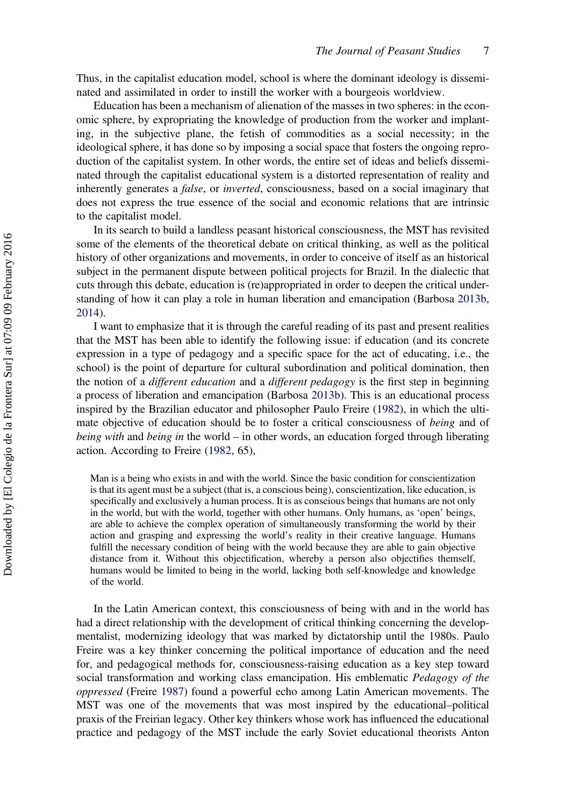<span id="page-7-0"></span>Thus, in the capitalist education model, school is where the dominant ideology is disseminated and assimilated in order to instill the worker with a bourgeois worldview.

Education has been a mechanism of alienation of the masses in two spheres: in the economic sphere, by expropriating the knowledge of production from the worker and implanting, in the subjective plane, the fetish of commodities as a social necessity; in the ideological sphere, it has done so by imposing a social space that fosters the ongoing reproduction of the capitalist system. In other words, the entire set of ideas and beliefs disseminated through the capitalist educational system is a distorted representation of reality and inherently generates a *false*, or *inverted*, consciousness, based on a social imaginary that does not express the true essence of the social and economic relations that are intrinsic to the capitalist model.

In its search to build a landless peasant historical consciousness, the MST has revisited some of the elements of the theoretical debate on critical thinking, as well as the political history of other organizations and movements, in order to conceive of itself as an historical subject in the permanent dispute between political projects for Brazil. In the dialectic that cuts through this debate, education is (re)appropriated in order to deepen the critical understanding of how it can play a role in human liberation and emancipation (Barbosa [2013b](#page-24-0), [2014\)](#page-24-0).

I want to emphasize that it is through the careful reading of its past and present realities that the MST has been able to identify the following issue: if education (and its concrete expression in a type of pedagogy and a specific space for the act of educating, i.e., the school) is the point of departure for cultural subordination and political domination, then the notion of a different education and a different pedagogy is the first step in beginning a process of liberation and emancipation (Barbosa [2013b\)](#page-24-0). This is an educational process inspired by the Brazilian educator and philosopher Paulo Freire [\(1982](#page-25-0)), in which the ultimate objective of education should be to foster a critical consciousness of *being* and of being with and being in the world – in other words, an education forged through liberating action. According to Freire ([1982,](#page-25-0) 65),

Man is a being who exists in and with the world. Since the basic condition for conscientization is that its agent must be a subject (that is, a conscious being), conscientization, like education, is specifically and exclusively a human process. It is as conscious beings that humans are not only in the world, but with the world, together with other humans. Only humans, as 'open' beings, are able to achieve the complex operation of simultaneously transforming the world by their action and grasping and expressing the world's reality in their creative language. Humans fulfill the necessary condition of being with the world because they are able to gain objective distance from it. Without this objectification, whereby a person also objectifies themself, humans would be limited to being in the world, lacking both self-knowledge and knowledge of the world.

In the Latin American context, this consciousness of being with and in the world has had a direct relationship with the development of critical thinking concerning the developmentalist, modernizing ideology that was marked by dictatorship until the 1980s. Paulo Freire was a key thinker concerning the political importance of education and the need for, and pedagogical methods for, consciousness-raising education as a key step toward social transformation and working class emancipation. His emblematic *Pedagogy of the* oppressed (Freire [1987](#page-25-0)) found a powerful echo among Latin American movements. The MST was one of the movements that was most inspired by the educational–political praxis of the Freirian legacy. Other key thinkers whose work has influenced the educational practice and pedagogy of the MST include the early Soviet educational theorists Anton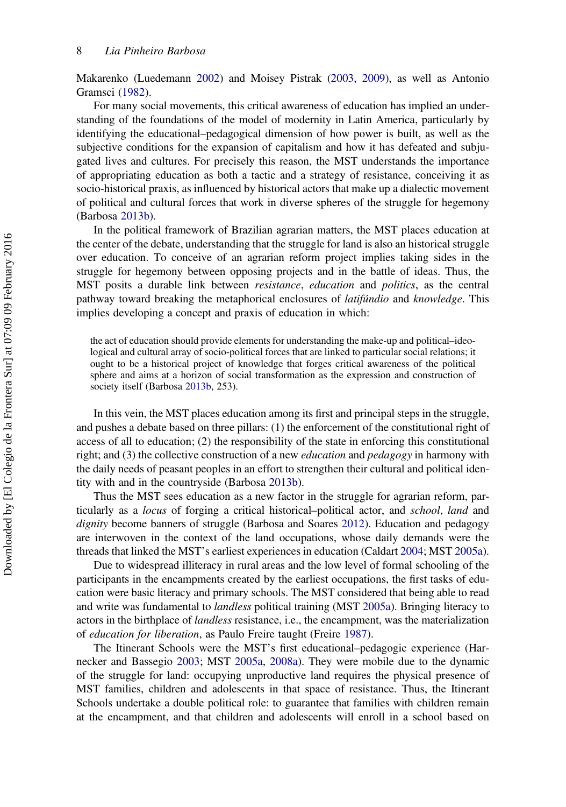<span id="page-8-0"></span>Makarenko (Luedemann [2002\)](#page-25-0) and Moisey Pistrak ([2003,](#page-25-0) [2009\)](#page-25-0), as well as Antonio Gramsci [\(1982](#page-25-0)).

For many social movements, this critical awareness of education has implied an understanding of the foundations of the model of modernity in Latin America, particularly by identifying the educational–pedagogical dimension of how power is built, as well as the subjective conditions for the expansion of capitalism and how it has defeated and subjugated lives and cultures. For precisely this reason, the MST understands the importance of appropriating education as both a tactic and a strategy of resistance, conceiving it as socio-historical praxis, as influenced by historical actors that make up a dialectic movement of political and cultural forces that work in diverse spheres of the struggle for hegemony (Barbosa [2013b](#page-24-0)).

In the political framework of Brazilian agrarian matters, the MST places education at the center of the debate, understanding that the struggle for land is also an historical struggle over education. To conceive of an agrarian reform project implies taking sides in the struggle for hegemony between opposing projects and in the battle of ideas. Thus, the MST posits a durable link between resistance, education and politics, as the central pathway toward breaking the metaphorical enclosures of *latifundio* and *knowledge*. This implies developing a concept and praxis of education in which:

the act of education should provide elements for understanding the make-up and political–ideological and cultural array of socio-political forces that are linked to particular social relations; it ought to be a historical project of knowledge that forges critical awareness of the political sphere and aims at a horizon of social transformation as the expression and construction of society itself (Barbosa [2013b](#page-24-0), 253).

In this vein, the MST places education among its first and principal steps in the struggle, and pushes a debate based on three pillars: (1) the enforcement of the constitutional right of access of all to education; (2) the responsibility of the state in enforcing this constitutional right; and (3) the collective construction of a new *education* and *pedagogy* in harmony with the daily needs of peasant peoples in an effort to strengthen their cultural and political identity with and in the countryside (Barbosa [2013b\)](#page-24-0).

Thus the MST sees education as a new factor in the struggle for agrarian reform, particularly as a locus of forging a critical historical–political actor, and school, land and dignity become banners of struggle (Barbosa and Soares [2012\)](#page-24-0). Education and pedagogy are interwoven in the context of the land occupations, whose daily demands were the threads that linked the MST's earliest experiences in education (Caldart [2004](#page-25-0); MST [2005a\)](#page-25-0).

Due to widespread illiteracy in rural areas and the low level of formal schooling of the participants in the encampments created by the earliest occupations, the first tasks of education were basic literacy and primary schools. The MST considered that being able to read and write was fundamental to landless political training (MST [2005a\)](#page-25-0). Bringing literacy to actors in the birthplace of landless resistance, i.e., the encampment, was the materialization of education for liberation, as Paulo Freire taught (Freire [1987](#page-25-0)).

The Itinerant Schools were the MST's first educational–pedagogic experience (Harnecker and Bassegio [2003](#page-25-0); MST [2005a](#page-25-0), [2008a\)](#page-25-0). They were mobile due to the dynamic of the struggle for land: occupying unproductive land requires the physical presence of MST families, children and adolescents in that space of resistance. Thus, the Itinerant Schools undertake a double political role: to guarantee that families with children remain at the encampment, and that children and adolescents will enroll in a school based on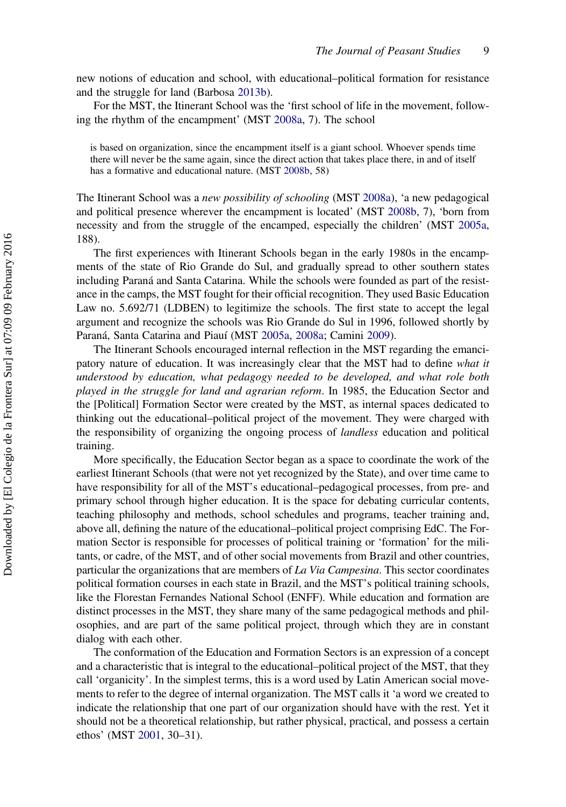<span id="page-9-0"></span>new notions of education and school, with educational–political formation for resistance and the struggle for land (Barbosa [2013b](#page-24-0)).

For the MST, the Itinerant School was the 'first school of life in the movement, following the rhythm of the encampment' (MST [2008a](#page-25-0), 7). The school

is based on organization, since the encampment itself is a giant school. Whoever spends time there will never be the same again, since the direct action that takes place there, in and of itself has a formative and educational nature. (MST [2008b,](#page-25-0) 58)

The Itinerant School was a new possibility of schooling (MST [2008a\)](#page-25-0), 'a new pedagogical and political presence wherever the encampment is located' (MST [2008b](#page-25-0), 7), 'born from necessity and from the struggle of the encamped, especially the children' (MST [2005a](#page-25-0), 188).

The first experiences with Itinerant Schools began in the early 1980s in the encampments of the state of Rio Grande do Sul, and gradually spread to other southern states including Paraná and Santa Catarina. While the schools were founded as part of the resistance in the camps, the MST fought for their official recognition. They used Basic Education Law no. 5.692/71 (LDBEN) to legitimize the schools. The first state to accept the legal argument and recognize the schools was Rio Grande do Sul in 1996, followed shortly by Paraná, Santa Catarina and Piauí (MST [2005a](#page-25-0), [2008a](#page-25-0); Camini [2009](#page-25-0)).

The Itinerant Schools encouraged internal reflection in the MST regarding the emancipatory nature of education. It was increasingly clear that the MST had to define what it understood by education, what pedagogy needed to be developed, and what role both played in the struggle for land and agrarian reform. In 1985, the Education Sector and the [Political] Formation Sector were created by the MST, as internal spaces dedicated to thinking out the educational–political project of the movement. They were charged with the responsibility of organizing the ongoing process of landless education and political training.

More specifically, the Education Sector began as a space to coordinate the work of the earliest Itinerant Schools (that were not yet recognized by the State), and over time came to have responsibility for all of the MST's educational–pedagogical processes, from pre- and primary school through higher education. It is the space for debating curricular contents, teaching philosophy and methods, school schedules and programs, teacher training and, above all, defining the nature of the educational–political project comprising EdC. The Formation Sector is responsible for processes of political training or 'formation' for the militants, or cadre, of the MST, and of other social movements from Brazil and other countries, particular the organizations that are members of La Via Campesina. This sector coordinates political formation courses in each state in Brazil, and the MST's political training schools, like the Florestan Fernandes National School (ENFF). While education and formation are distinct processes in the MST, they share many of the same pedagogical methods and philosophies, and are part of the same political project, through which they are in constant dialog with each other.

The conformation of the Education and Formation Sectors is an expression of a concept and a characteristic that is integral to the educational–political project of the MST, that they call 'organicity'. In the simplest terms, this is a word used by Latin American social movements to refer to the degree of internal organization. The MST calls it 'a word we created to indicate the relationship that one part of our organization should have with the rest. Yet it should not be a theoretical relationship, but rather physical, practical, and possess a certain ethos' (MST [2001](#page-25-0), 30–31).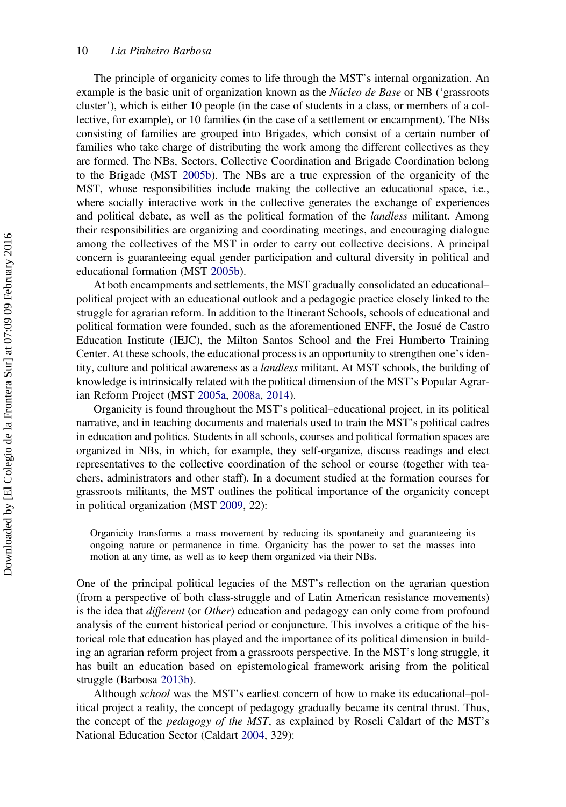<span id="page-10-0"></span>The principle of organicity comes to life through the MST's internal organization. An example is the basic unit of organization known as the Núcleo de Base or NB ('grassroots cluster'), which is either 10 people (in the case of students in a class, or members of a collective, for example), or 10 families (in the case of a settlement or encampment). The NBs consisting of families are grouped into Brigades, which consist of a certain number of families who take charge of distributing the work among the different collectives as they are formed. The NBs, Sectors, Collective Coordination and Brigade Coordination belong to the Brigade (MST [2005b](#page-25-0)). The NBs are a true expression of the organicity of the MST, whose responsibilities include making the collective an educational space, i.e., where socially interactive work in the collective generates the exchange of experiences and political debate, as well as the political formation of the landless militant. Among their responsibilities are organizing and coordinating meetings, and encouraging dialogue among the collectives of the MST in order to carry out collective decisions. A principal concern is guaranteeing equal gender participation and cultural diversity in political and educational formation (MST [2005b\)](#page-25-0).

At both encampments and settlements, the MST gradually consolidated an educational– political project with an educational outlook and a pedagogic practice closely linked to the struggle for agrarian reform. In addition to the Itinerant Schools, schools of educational and political formation were founded, such as the aforementioned ENFF, the Josué de Castro Education Institute (IEJC), the Milton Santos School and the Frei Humberto Training Center. At these schools, the educational process is an opportunity to strengthen one's identity, culture and political awareness as a landless militant. At MST schools, the building of knowledge is intrinsically related with the political dimension of the MST's Popular Agrarian Reform Project (MST [2005a,](#page-25-0) [2008a,](#page-25-0) [2014](#page-25-0)).

Organicity is found throughout the MST's political–educational project, in its political narrative, and in teaching documents and materials used to train the MST's political cadres in education and politics. Students in all schools, courses and political formation spaces are organized in NBs, in which, for example, they self-organize, discuss readings and elect representatives to the collective coordination of the school or course (together with teachers, administrators and other staff). In a document studied at the formation courses for grassroots militants, the MST outlines the political importance of the organicity concept in political organization (MST [2009,](#page-25-0) 22):

Organicity transforms a mass movement by reducing its spontaneity and guaranteeing its ongoing nature or permanence in time. Organicity has the power to set the masses into motion at any time, as well as to keep them organized via their NBs.

One of the principal political legacies of the MST's reflection on the agrarian question (from a perspective of both class-struggle and of Latin American resistance movements) is the idea that *different* (or *Other*) education and pedagogy can only come from profound analysis of the current historical period or conjuncture. This involves a critique of the historical role that education has played and the importance of its political dimension in building an agrarian reform project from a grassroots perspective. In the MST's long struggle, it has built an education based on epistemological framework arising from the political struggle (Barbosa [2013b](#page-24-0)).

Although school was the MST's earliest concern of how to make its educational–political project a reality, the concept of pedagogy gradually became its central thrust. Thus, the concept of the pedagogy of the MST, as explained by Roseli Caldart of the MST's National Education Sector (Caldart [2004,](#page-25-0) 329):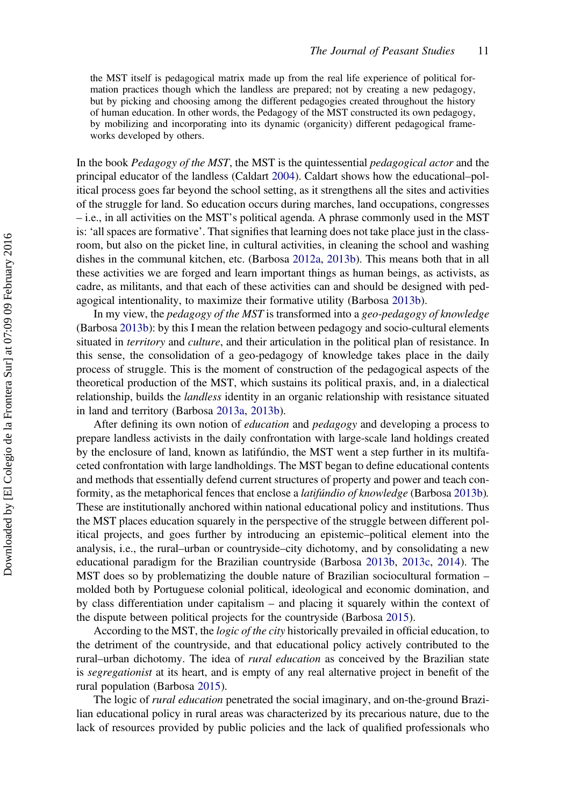<span id="page-11-0"></span>the MST itself is pedagogical matrix made up from the real life experience of political formation practices though which the landless are prepared; not by creating a new pedagogy, but by picking and choosing among the different pedagogies created throughout the history of human education. In other words, the Pedagogy of the MST constructed its own pedagogy, by mobilizing and incorporating into its dynamic (organicity) different pedagogical frameworks developed by others.

In the book *Pedagogy of the MST*, the MST is the quintessential *pedagogical actor* and the principal educator of the landless (Caldart [2004](#page-25-0)). Caldart shows how the educational–political process goes far beyond the school setting, as it strengthens all the sites and activities of the struggle for land. So education occurs during marches, land occupations, congresses – i.e., in all activities on the MST's political agenda. A phrase commonly used in the MST is: 'all spaces are formative'. That signifies that learning does not take place just in the classroom, but also on the picket line, in cultural activities, in cleaning the school and washing dishes in the communal kitchen, etc. (Barbosa [2012a,](#page-24-0) [2013b](#page-24-0)). This means both that in all these activities we are forged and learn important things as human beings, as activists, as cadre, as militants, and that each of these activities can and should be designed with pedagogical intentionality, to maximize their formative utility (Barbosa [2013b\)](#page-24-0).

In my view, the pedagogy of the MST is transformed into a geo-pedagogy of knowledge (Barbosa [2013b\)](#page-24-0): by this I mean the relation between pedagogy and socio-cultural elements situated in *territory* and *culture*, and their articulation in the political plan of resistance. In this sense, the consolidation of a geo-pedagogy of knowledge takes place in the daily process of struggle. This is the moment of construction of the pedagogical aspects of the theoretical production of the MST, which sustains its political praxis, and, in a dialectical relationship, builds the *landless* identity in an organic relationship with resistance situated in land and territory (Barbosa [2013a](#page-24-0), [2013b\)](#page-24-0).

After defining its own notion of *education* and *pedagogy* and developing a process to prepare landless activists in the daily confrontation with large-scale land holdings created by the enclosure of land, known as latifúndio, the MST went a step further in its multifaceted confrontation with large landholdings. The MST began to define educational contents and methods that essentially defend current structures of property and power and teach conformity, as the metaphorical fences that enclose a latifúndio of knowledge (Barbosa [2013b\)](#page-24-0). These are institutionally anchored within national educational policy and institutions. Thus the MST places education squarely in the perspective of the struggle between different political projects, and goes further by introducing an epistemic–political element into the analysis, i.e., the rural–urban or countryside–city dichotomy, and by consolidating a new educational paradigm for the Brazilian countryside (Barbosa [2013b](#page-24-0), [2013c](#page-24-0), [2014](#page-24-0)). The MST does so by problematizing the double nature of Brazilian sociocultural formation – molded both by Portuguese colonial political, ideological and economic domination, and by class differentiation under capitalism – and placing it squarely within the context of the dispute between political projects for the countryside (Barbosa [2015\)](#page-24-0).

According to the MST, the logic of the city historically prevailed in official education, to the detriment of the countryside, and that educational policy actively contributed to the rural–urban dichotomy. The idea of rural education as conceived by the Brazilian state is *segregationist* at its heart, and is empty of any real alternative project in benefit of the rural population (Barbosa [2015\)](#page-24-0).

The logic of rural education penetrated the social imaginary, and on-the-ground Brazilian educational policy in rural areas was characterized by its precarious nature, due to the lack of resources provided by public policies and the lack of qualified professionals who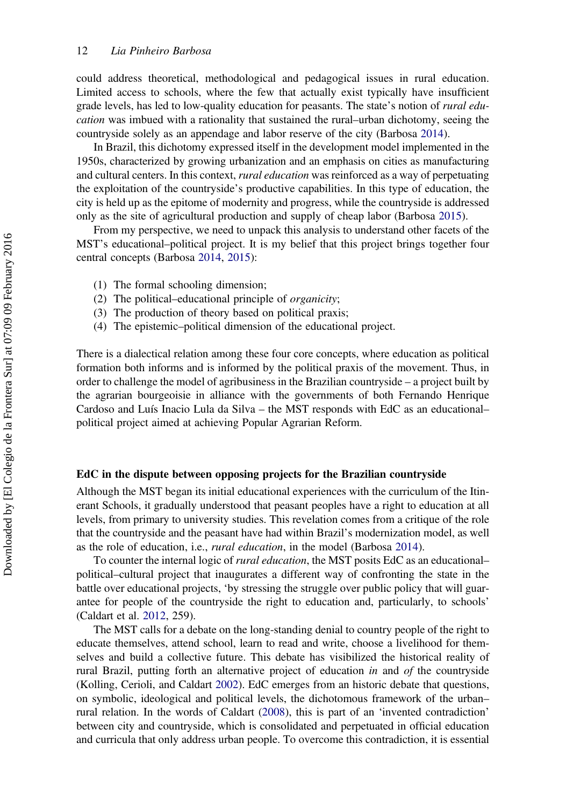<span id="page-12-0"></span>could address theoretical, methodological and pedagogical issues in rural education. Limited access to schools, where the few that actually exist typically have insufficient grade levels, has led to low-quality education for peasants. The state's notion of *rural edu*cation was imbued with a rationality that sustained the rural–urban dichotomy, seeing the countryside solely as an appendage and labor reserve of the city (Barbosa [2014\)](#page-24-0).

In Brazil, this dichotomy expressed itself in the development model implemented in the 1950s, characterized by growing urbanization and an emphasis on cities as manufacturing and cultural centers. In this context, rural education was reinforced as a way of perpetuating the exploitation of the countryside's productive capabilities. In this type of education, the city is held up as the epitome of modernity and progress, while the countryside is addressed only as the site of agricultural production and supply of cheap labor (Barbosa [2015\)](#page-24-0).

From my perspective, we need to unpack this analysis to understand other facets of the MST's educational–political project. It is my belief that this project brings together four central concepts (Barbosa [2014,](#page-24-0) [2015](#page-24-0)):

- (1) The formal schooling dimension;
- (2) The political–educational principle of organicity;
- (3) The production of theory based on political praxis;
- (4) The epistemic–political dimension of the educational project.

There is a dialectical relation among these four core concepts, where education as political formation both informs and is informed by the political praxis of the movement. Thus, in order to challenge the model of agribusiness in the Brazilian countryside – a project built by the agrarian bourgeoisie in alliance with the governments of both Fernando Henrique Cardoso and Luís Inacio Lula da Silva – the MST responds with EdC as an educational– political project aimed at achieving Popular Agrarian Reform.

#### EdC in the dispute between opposing projects for the Brazilian countryside

Although the MST began its initial educational experiences with the curriculum of the Itinerant Schools, it gradually understood that peasant peoples have a right to education at all levels, from primary to university studies. This revelation comes from a critique of the role that the countryside and the peasant have had within Brazil's modernization model, as well as the role of education, i.e., rural education, in the model (Barbosa [2014\)](#page-24-0).

To counter the internal logic of rural education, the MST posits EdC as an educational– political–cultural project that inaugurates a different way of confronting the state in the battle over educational projects, 'by stressing the struggle over public policy that will guarantee for people of the countryside the right to education and, particularly, to schools' (Caldart et al. [2012,](#page-25-0) 259).

The MST calls for a debate on the long-standing denial to country people of the right to educate themselves, attend school, learn to read and write, choose a livelihood for themselves and build a collective future. This debate has visibilized the historical reality of rural Brazil, putting forth an alternative project of education in and of the countryside (Kolling, Cerioli, and Caldart [2002\)](#page-25-0). EdC emerges from an historic debate that questions, on symbolic, ideological and political levels, the dichotomous framework of the urban– rural relation. In the words of Caldart ([2008\)](#page-25-0), this is part of an 'invented contradiction' between city and countryside, which is consolidated and perpetuated in official education and curricula that only address urban people. To overcome this contradiction, it is essential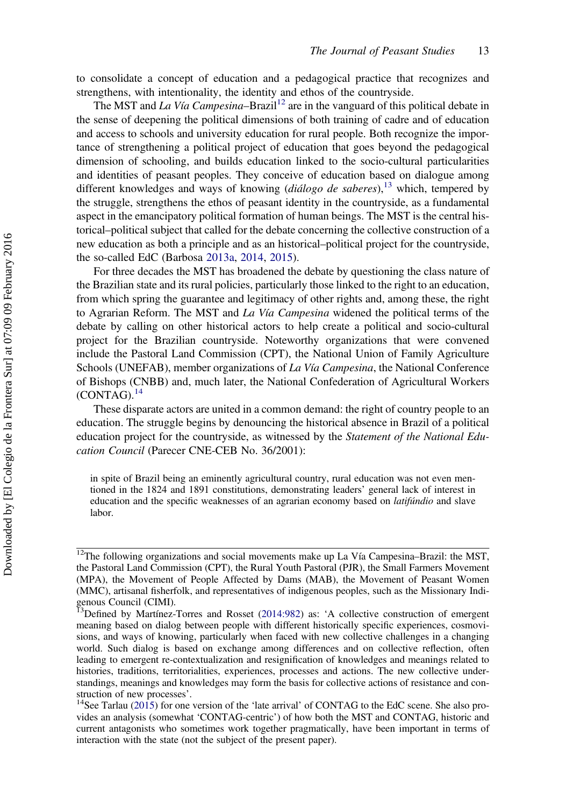<span id="page-13-0"></span>to consolidate a concept of education and a pedagogical practice that recognizes and strengthens, with intentionality, the identity and ethos of the countryside.

The MST and *La Vía Campesina–Brazil*<sup>12</sup> are in the vanguard of this political debate in the sense of deepening the political dimensions of both training of cadre and of education and access to schools and university education for rural people. Both recognize the importance of strengthening a political project of education that goes beyond the pedagogical dimension of schooling, and builds education linked to the socio-cultural particularities and identities of peasant peoples. They conceive of education based on dialogue among different knowledges and ways of knowing (diálogo de saberes),<sup>13</sup> which, tempered by the struggle, strengthens the ethos of peasant identity in the countryside, as a fundamental aspect in the emancipatory political formation of human beings. The MST is the central historical–political subject that called for the debate concerning the collective construction of a new education as both a principle and as an historical–political project for the countryside, the so-called EdC (Barbosa [2013a](#page-24-0), [2014,](#page-24-0) [2015](#page-24-0)).

For three decades the MST has broadened the debate by questioning the class nature of the Brazilian state and its rural policies, particularly those linked to the right to an education, from which spring the guarantee and legitimacy of other rights and, among these, the right to Agrarian Reform. The MST and La Vía Campesina widened the political terms of the debate by calling on other historical actors to help create a political and socio-cultural project for the Brazilian countryside. Noteworthy organizations that were convened include the Pastoral Land Commission (CPT), the National Union of Family Agriculture Schools (UNEFAB), member organizations of La Vía Campesina, the National Conference of Bishops (CNBB) and, much later, the National Confederation of Agricultural Workers  $(CONTAG).<sup>14</sup>$ 

These disparate actors are united in a common demand: the right of country people to an education. The struggle begins by denouncing the historical absence in Brazil of a political education project for the countryside, as witnessed by the Statement of the National Education Council (Parecer CNE-CEB No. 36/2001):

in spite of Brazil being an eminently agricultural country, rural education was not even mentioned in the 1824 and 1891 constitutions, demonstrating leaders' general lack of interest in education and the specific weaknesses of an agrarian economy based on *latifundio* and slave labor.

 $12$ The following organizations and social movements make up La Vía Campesina–Brazil: the MST, the Pastoral Land Commission (CPT), the Rural Youth Pastoral (PJR), the Small Farmers Movement (MPA), the Movement of People Affected by Dams (MAB), the Movement of Peasant Women (MMC), artisanal fisherfolk, and representatives of indigenous peoples, such as the Missionary Indigenous Council (CIMI).

<sup>&</sup>lt;sup>13</sup>Defined by Martínez-Torres and Rosset [\(2014:982\)](#page-25-0) as: 'A collective construction of emergent meaning based on dialog between people with different historically specific experiences, cosmovisions, and ways of knowing, particularly when faced with new collective challenges in a changing world. Such dialog is based on exchange among differences and on collective reflection, often leading to emergent re-contextualization and resignification of knowledges and meanings related to histories, traditions, territorialities, experiences, processes and actions. The new collective understandings, meanings and knowledges may form the basis for collective actions of resistance and con-

struction of new processes'.<br><sup>14</sup>See Tarlau ([2015\)](#page-26-0) for one version of the 'late arrival' of CONTAG to the EdC scene. She also provides an analysis (somewhat 'CONTAG-centric') of how both the MST and CONTAG, historic and current antagonists who sometimes work together pragmatically, have been important in terms of interaction with the state (not the subject of the present paper).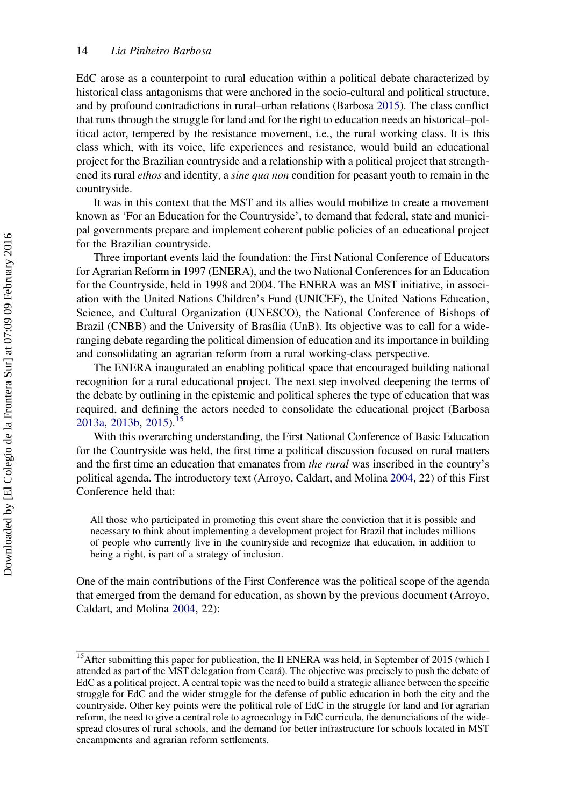<span id="page-14-0"></span>EdC arose as a counterpoint to rural education within a political debate characterized by historical class antagonisms that were anchored in the socio-cultural and political structure, and by profound contradictions in rural–urban relations (Barbosa [2015\)](#page-24-0). The class conflict that runs through the struggle for land and for the right to education needs an historical–political actor, tempered by the resistance movement, i.e., the rural working class. It is this class which, with its voice, life experiences and resistance, would build an educational project for the Brazilian countryside and a relationship with a political project that strengthened its rural ethos and identity, a sine qua non condition for peasant youth to remain in the countryside.

It was in this context that the MST and its allies would mobilize to create a movement known as 'For an Education for the Countryside', to demand that federal, state and municipal governments prepare and implement coherent public policies of an educational project for the Brazilian countryside.

Three important events laid the foundation: the First National Conference of Educators for Agrarian Reform in 1997 (ENERA), and the two National Conferences for an Education for the Countryside, held in 1998 and 2004. The ENERA was an MST initiative, in association with the United Nations Children's Fund (UNICEF), the United Nations Education, Science, and Cultural Organization (UNESCO), the National Conference of Bishops of Brazil (CNBB) and the University of Brasília (UnB). Its objective was to call for a wideranging debate regarding the political dimension of education and its importance in building and consolidating an agrarian reform from a rural working-class perspective.

The ENERA inaugurated an enabling political space that encouraged building national recognition for a rural educational project. The next step involved deepening the terms of the debate by outlining in the epistemic and political spheres the type of education that was required, and defining the actors needed to consolidate the educational project (Barbosa [2013a,](#page-24-0) [2013b,](#page-24-0) [2015](#page-24-0)).<sup>15</sup>

With this overarching understanding, the First National Conference of Basic Education for the Countryside was held, the first time a political discussion focused on rural matters and the first time an education that emanates from the rural was inscribed in the country's political agenda. The introductory text (Arroyo, Caldart, and Molina [2004](#page-24-0), 22) of this First Conference held that:

All those who participated in promoting this event share the conviction that it is possible and necessary to think about implementing a development project for Brazil that includes millions of people who currently live in the countryside and recognize that education, in addition to being a right, is part of a strategy of inclusion.

One of the main contributions of the First Conference was the political scope of the agenda that emerged from the demand for education, as shown by the previous document (Arroyo, Caldart, and Molina [2004](#page-24-0), 22):

<sup>&</sup>lt;sup>15</sup>After submitting this paper for publication, the II ENERA was held, in September of 2015 (which I attended as part of the MST delegation from Ceará). The objective was precisely to push the debate of EdC as a political project. A central topic was the need to build a strategic alliance between the specific struggle for EdC and the wider struggle for the defense of public education in both the city and the countryside. Other key points were the political role of EdC in the struggle for land and for agrarian reform, the need to give a central role to agroecology in EdC curricula, the denunciations of the widespread closures of rural schools, and the demand for better infrastructure for schools located in MST encampments and agrarian reform settlements.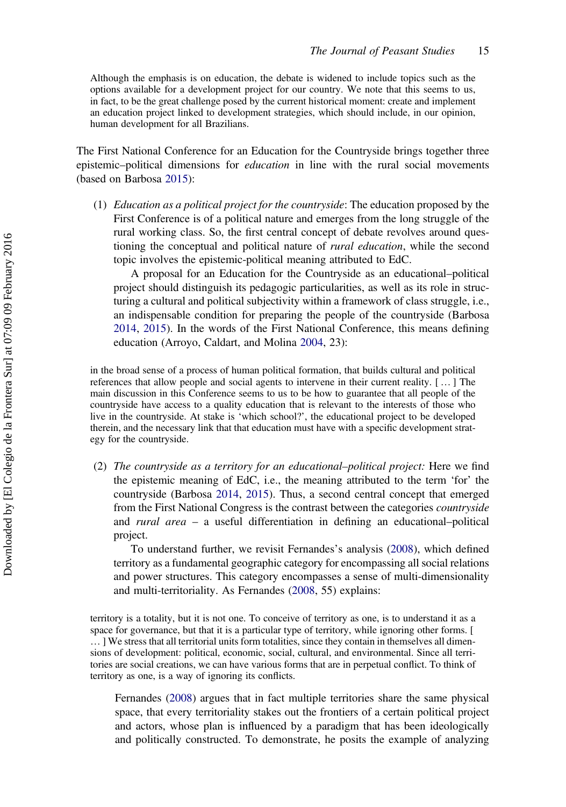<span id="page-15-0"></span>Although the emphasis is on education, the debate is widened to include topics such as the options available for a development project for our country. We note that this seems to us, in fact, to be the great challenge posed by the current historical moment: create and implement an education project linked to development strategies, which should include, in our opinion, human development for all Brazilians.

The First National Conference for an Education for the Countryside brings together three epistemic–political dimensions for education in line with the rural social movements (based on Barbosa [2015](#page-24-0)):

(1) Education as a political project for the countryside: The education proposed by the First Conference is of a political nature and emerges from the long struggle of the rural working class. So, the first central concept of debate revolves around questioning the conceptual and political nature of rural education, while the second topic involves the epistemic-political meaning attributed to EdC.

A proposal for an Education for the Countryside as an educational–political project should distinguish its pedagogic particularities, as well as its role in structuring a cultural and political subjectivity within a framework of class struggle, i.e., an indispensable condition for preparing the people of the countryside (Barbosa [2014](#page-24-0), [2015](#page-24-0)). In the words of the First National Conference, this means defining education (Arroyo, Caldart, and Molina [2004,](#page-24-0) 23):

in the broad sense of a process of human political formation, that builds cultural and political references that allow people and social agents to intervene in their current reality. [ … ] The main discussion in this Conference seems to us to be how to guarantee that all people of the countryside have access to a quality education that is relevant to the interests of those who live in the countryside. At stake is 'which school?', the educational project to be developed therein, and the necessary link that that education must have with a specific development strategy for the countryside.

(2) The countryside as a territory for an educational–political project: Here we find the epistemic meaning of EdC, i.e., the meaning attributed to the term 'for' the countryside (Barbosa [2014](#page-24-0), [2015\)](#page-24-0). Thus, a second central concept that emerged from the First National Congress is the contrast between the categories countryside and rural area – a useful differentiation in defining an educational–political project.

To understand further, we revisit Fernandes's analysis ([2008\)](#page-25-0), which defined territory as a fundamental geographic category for encompassing all social relations and power structures. This category encompasses a sense of multi-dimensionality and multi-territoriality. As Fernandes ([2008,](#page-25-0) 55) explains:

territory is a totality, but it is not one. To conceive of territory as one, is to understand it as a space for governance, but that it is a particular type of territory, while ignoring other forms. [ … ] We stress that all territorial units form totalities, since they contain in themselves all dimensions of development: political, economic, social, cultural, and environmental. Since all territories are social creations, we can have various forms that are in perpetual conflict. To think of territory as one, is a way of ignoring its conflicts.

Fernandes ([2008\)](#page-25-0) argues that in fact multiple territories share the same physical space, that every territoriality stakes out the frontiers of a certain political project and actors, whose plan is influenced by a paradigm that has been ideologically and politically constructed. To demonstrate, he posits the example of analyzing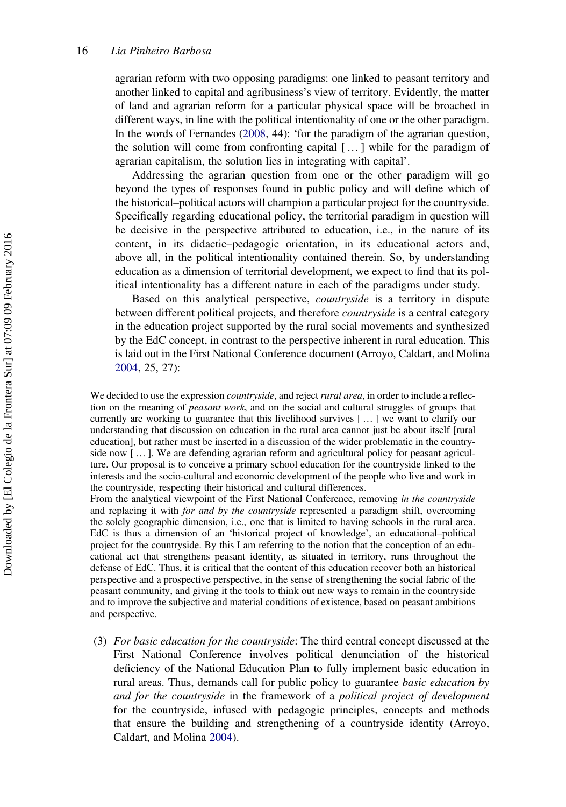agrarian reform with two opposing paradigms: one linked to peasant territory and another linked to capital and agribusiness's view of territory. Evidently, the matter of land and agrarian reform for a particular physical space will be broached in different ways, in line with the political intentionality of one or the other paradigm. In the words of Fernandes ([2008,](#page-25-0) 44): 'for the paradigm of the agrarian question, the solution will come from confronting capital [ … ] while for the paradigm of agrarian capitalism, the solution lies in integrating with capital'.

Addressing the agrarian question from one or the other paradigm will go beyond the types of responses found in public policy and will define which of the historical–political actors will champion a particular project for the countryside. Specifically regarding educational policy, the territorial paradigm in question will be decisive in the perspective attributed to education, i.e., in the nature of its content, in its didactic–pedagogic orientation, in its educational actors and, above all, in the political intentionality contained therein. So, by understanding education as a dimension of territorial development, we expect to find that its political intentionality has a different nature in each of the paradigms under study.

Based on this analytical perspective, *countryside* is a territory in dispute between different political projects, and therefore *countryside* is a central category in the education project supported by the rural social movements and synthesized by the EdC concept, in contrast to the perspective inherent in rural education. This is laid out in the First National Conference document (Arroyo, Caldart, and Molina [2004](#page-24-0), 25, 27):

We decided to use the expression *countryside*, and reject *rural area*, in order to include a reflection on the meaning of *peasant work*, and on the social and cultural struggles of groups that currently are working to guarantee that this livelihood survives [ … ] we want to clarify our understanding that discussion on education in the rural area cannot just be about itself [rural education], but rather must be inserted in a discussion of the wider problematic in the countryside now [ … ]. We are defending agrarian reform and agricultural policy for peasant agriculture. Our proposal is to conceive a primary school education for the countryside linked to the interests and the socio-cultural and economic development of the people who live and work in the countryside, respecting their historical and cultural differences.

From the analytical viewpoint of the First National Conference, removing in the countryside and replacing it with *for and by the countryside* represented a paradigm shift, overcoming the solely geographic dimension, i.e., one that is limited to having schools in the rural area. EdC is thus a dimension of an 'historical project of knowledge', an educational–political project for the countryside. By this I am referring to the notion that the conception of an educational act that strengthens peasant identity, as situated in territory, runs throughout the defense of EdC. Thus, it is critical that the content of this education recover both an historical perspective and a prospective perspective, in the sense of strengthening the social fabric of the peasant community, and giving it the tools to think out new ways to remain in the countryside and to improve the subjective and material conditions of existence, based on peasant ambitions and perspective.

(3) For basic education for the countryside: The third central concept discussed at the First National Conference involves political denunciation of the historical deficiency of the National Education Plan to fully implement basic education in rural areas. Thus, demands call for public policy to guarantee basic education by and for the countryside in the framework of a political project of development for the countryside, infused with pedagogic principles, concepts and methods that ensure the building and strengthening of a countryside identity (Arroyo, Caldart, and Molina [2004\)](#page-24-0).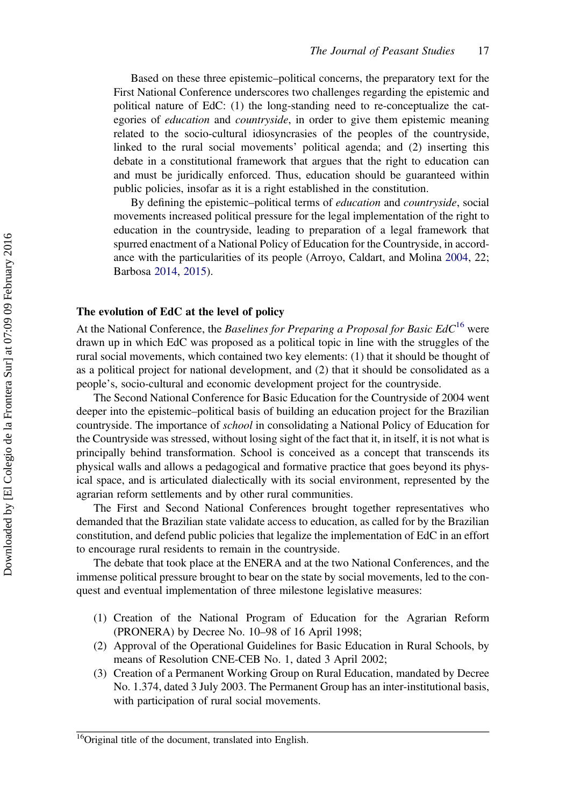Based on these three epistemic–political concerns, the preparatory text for the First National Conference underscores two challenges regarding the epistemic and political nature of EdC: (1) the long-standing need to re-conceptualize the categories of education and countryside, in order to give them epistemic meaning related to the socio-cultural idiosyncrasies of the peoples of the countryside, linked to the rural social movements' political agenda; and (2) inserting this debate in a constitutional framework that argues that the right to education can and must be juridically enforced. Thus, education should be guaranteed within public policies, insofar as it is a right established in the constitution.

By defining the epistemic–political terms of education and countryside, social movements increased political pressure for the legal implementation of the right to education in the countryside, leading to preparation of a legal framework that spurred enactment of a National Policy of Education for the Countryside, in accordance with the particularities of its people (Arroyo, Caldart, and Molina [2004](#page-24-0), 22; Barbosa [2014,](#page-24-0) [2015](#page-24-0)).

#### The evolution of EdC at the level of policy

At the National Conference, the Baselines for Preparing a Proposal for Basic EdC $^{16}$  were drawn up in which EdC was proposed as a political topic in line with the struggles of the rural social movements, which contained two key elements: (1) that it should be thought of as a political project for national development, and (2) that it should be consolidated as a people's, socio-cultural and economic development project for the countryside.

The Second National Conference for Basic Education for the Countryside of 2004 went deeper into the epistemic–political basis of building an education project for the Brazilian countryside. The importance of school in consolidating a National Policy of Education for the Countryside was stressed, without losing sight of the fact that it, in itself, it is not what is principally behind transformation. School is conceived as a concept that transcends its physical walls and allows a pedagogical and formative practice that goes beyond its physical space, and is articulated dialectically with its social environment, represented by the agrarian reform settlements and by other rural communities.

The First and Second National Conferences brought together representatives who demanded that the Brazilian state validate access to education, as called for by the Brazilian constitution, and defend public policies that legalize the implementation of EdC in an effort to encourage rural residents to remain in the countryside.

The debate that took place at the ENERA and at the two National Conferences, and the immense political pressure brought to bear on the state by social movements, led to the conquest and eventual implementation of three milestone legislative measures:

- (1) Creation of the National Program of Education for the Agrarian Reform (PRONERA) by Decree No. 10–98 of 16 April 1998;
- (2) Approval of the Operational Guidelines for Basic Education in Rural Schools, by means of Resolution CNE-CEB No. 1, dated 3 April 2002;
- (3) Creation of a Permanent Working Group on Rural Education, mandated by Decree No. 1.374, dated 3 July 2003. The Permanent Group has an inter-institutional basis, with participation of rural social movements.

<sup>&</sup>lt;sup>16</sup>Original title of the document, translated into English.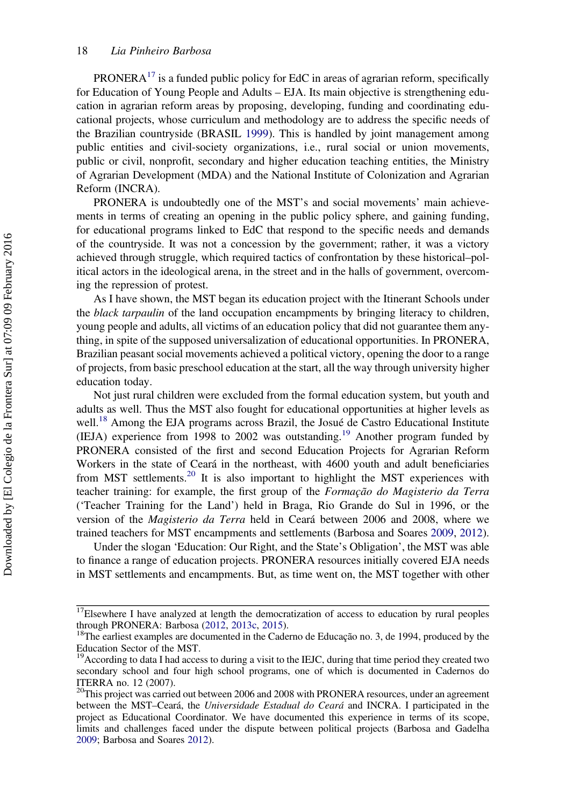<span id="page-18-0"></span>PRONERA<sup>17</sup> is a funded public policy for EdC in areas of agrarian reform, specifically for Education of Young People and Adults – EJA. Its main objective is strengthening education in agrarian reform areas by proposing, developing, funding and coordinating educational projects, whose curriculum and methodology are to address the specific needs of the Brazilian countryside (BRASIL [1999](#page-25-0)). This is handled by joint management among public entities and civil-society organizations, i.e., rural social or union movements, public or civil, nonprofit, secondary and higher education teaching entities, the Ministry of Agrarian Development (MDA) and the National Institute of Colonization and Agrarian Reform (INCRA).

PRONERA is undoubtedly one of the MST's and social movements' main achievements in terms of creating an opening in the public policy sphere, and gaining funding, for educational programs linked to EdC that respond to the specific needs and demands of the countryside. It was not a concession by the government; rather, it was a victory achieved through struggle, which required tactics of confrontation by these historical–political actors in the ideological arena, in the street and in the halls of government, overcoming the repression of protest.

As I have shown, the MST began its education project with the Itinerant Schools under the *black tarpaulin* of the land occupation encampments by bringing literacy to children, young people and adults, all victims of an education policy that did not guarantee them anything, in spite of the supposed universalization of educational opportunities. In PRONERA, Brazilian peasant social movements achieved a political victory, opening the door to a range of projects, from basic preschool education at the start, all the way through university higher education today.

Not just rural children were excluded from the formal education system, but youth and adults as well. Thus the MST also fought for educational opportunities at higher levels as well.<sup>18</sup> Among the EJA programs across Brazil, the Josué de Castro Educational Institute (IEJA) experience from 1998 to 2002 was outstanding.<sup>19</sup> Another program funded by PRONERA consisted of the first and second Education Projects for Agrarian Reform Workers in the state of Ceará in the northeast, with 4600 youth and adult beneficiaries from MST settlements.<sup>20</sup> It is also important to highlight the MST experiences with teacher training: for example, the first group of the Formação do Magisterio da Terra ('Teacher Training for the Land') held in Braga, Rio Grande do Sul in 1996, or the version of the Magisterio da Terra held in Ceará between 2006 and 2008, where we trained teachers for MST encampments and settlements (Barbosa and Soares [2009,](#page-24-0) [2012\)](#page-24-0).

Under the slogan 'Education: Our Right, and the State's Obligation', the MST was able to finance a range of education projects. PRONERA resources initially covered EJA needs in MST settlements and encampments. But, as time went on, the MST together with other

<sup>&</sup>lt;sup>17</sup>Elsewhere I have analyzed at length the democratization of access to education by rural peoples through PRONERA: Barbosa ([2012,](#page-24-0) [2013c,](#page-24-0) [2015\)](#page-24-0).<br><sup>18</sup>The earliest examples are documented in the Caderno de Educação no. 3, de 1994, produced by the

Education Sector of the MST.

<sup>&</sup>lt;sup>19</sup> According to data I had access to during a visit to the IEJC, during that time period they created two secondary school and four high school programs, one of which is documented in Cadernos do ITERRA no. 12 (2007).

 $^{20}$ This project was carried out between 2006 and 2008 with PRONERA resources, under an agreement between the MST–Ceará, the Universidade Estadual do Ceará and INCRA. I participated in the project as Educational Coordinator. We have documented this experience in terms of its scope, limits and challenges faced under the dispute between political projects (Barbosa and Gadelha [2009;](#page-24-0) Barbosa and Soares [2012\)](#page-24-0).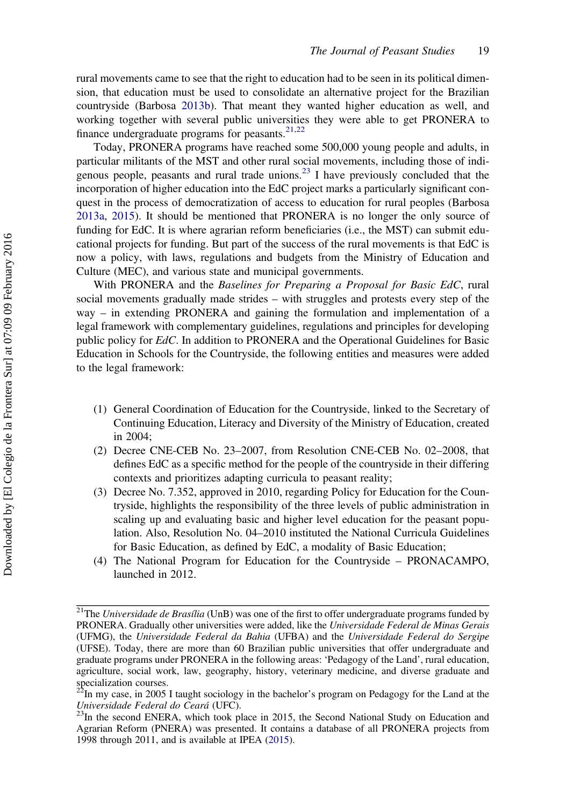<span id="page-19-0"></span>rural movements came to see that the right to education had to be seen in its political dimension, that education must be used to consolidate an alternative project for the Brazilian countryside (Barbosa [2013b](#page-24-0)). That meant they wanted higher education as well, and working together with several public universities they were able to get PRONERA to finance undergraduate programs for peasants. $21,22$ 

Today, PRONERA programs have reached some 500,000 young people and adults, in particular militants of the MST and other rural social movements, including those of indigenous people, peasants and rural trade unions. $^{23}$  I have previously concluded that the incorporation of higher education into the EdC project marks a particularly significant conquest in the process of democratization of access to education for rural peoples (Barbosa [2013a,](#page-24-0) [2015\)](#page-24-0). It should be mentioned that PRONERA is no longer the only source of funding for EdC. It is where agrarian reform beneficiaries (i.e., the MST) can submit educational projects for funding. But part of the success of the rural movements is that EdC is now a policy, with laws, regulations and budgets from the Ministry of Education and Culture (MEC), and various state and municipal governments.

With PRONERA and the Baselines for Preparing a Proposal for Basic EdC, rural social movements gradually made strides – with struggles and protests every step of the way – in extending PRONERA and gaining the formulation and implementation of a legal framework with complementary guidelines, regulations and principles for developing public policy for EdC. In addition to PRONERA and the Operational Guidelines for Basic Education in Schools for the Countryside, the following entities and measures were added to the legal framework:

- (1) General Coordination of Education for the Countryside, linked to the Secretary of Continuing Education, Literacy and Diversity of the Ministry of Education, created in 2004;
- (2) Decree CNE-CEB No. 23–2007, from Resolution CNE-CEB No. 02–2008, that defines EdC as a specific method for the people of the countryside in their differing contexts and prioritizes adapting curricula to peasant reality;
- (3) Decree No. 7.352, approved in 2010, regarding Policy for Education for the Countryside, highlights the responsibility of the three levels of public administration in scaling up and evaluating basic and higher level education for the peasant population. Also, Resolution No. 04–2010 instituted the National Curricula Guidelines for Basic Education, as defined by EdC, a modality of Basic Education;
- (4) The National Program for Education for the Countryside PRONACAMPO, launched in 2012.

 $^{21}$ The Universidade de Brasília (UnB) was one of the first to offer undergraduate programs funded by PRONERA. Gradually other universities were added, like the Universidade Federal de Minas Gerais (UFMG), the Universidade Federal da Bahia (UFBA) and the Universidade Federal do Sergipe (UFSE). Today, there are more than 60 Brazilian public universities that offer undergraduate and graduate programs under PRONERA in the following areas: 'Pedagogy of the Land', rural education, agriculture, social work, law, geography, history, veterinary medicine, and diverse graduate and specialization courses.<br><sup>22</sup>In my case, in 2005 I taught sociology in the bachelor's program on Pedagogy for the Land at the

Universidade Federal do Ceará (UFC).<br><sup>23</sup>In the second ENERA, which took place in 2015, the Second National Study on Education and

Agrarian Reform (PNERA) was presented. It contains a database of all PRONERA projects from 1998 through 2011, and is available at IPEA [\(2015](#page-25-0)).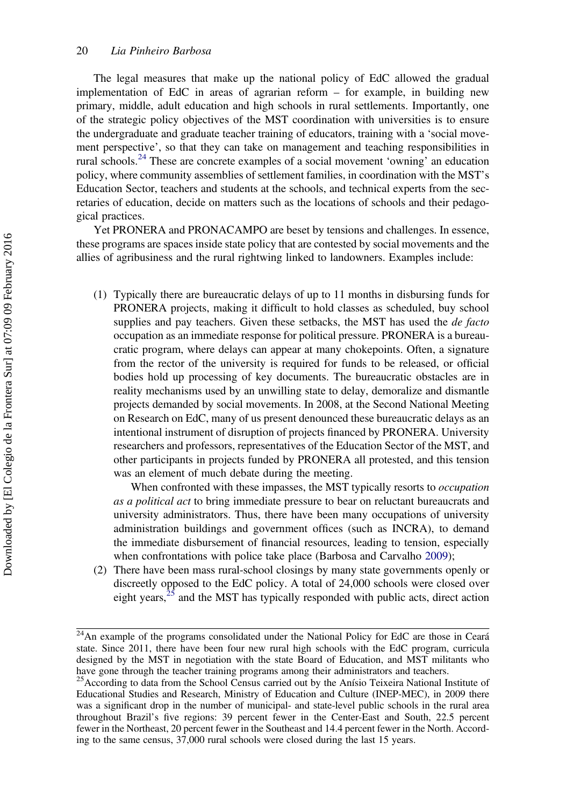The legal measures that make up the national policy of EdC allowed the gradual implementation of EdC in areas of agrarian reform – for example, in building new primary, middle, adult education and high schools in rural settlements. Importantly, one of the strategic policy objectives of the MST coordination with universities is to ensure the undergraduate and graduate teacher training of educators, training with a 'social movement perspective', so that they can take on management and teaching responsibilities in rural schools.<sup>24</sup> These are concrete examples of a social movement 'owning' an education policy, where community assemblies of settlement families, in coordination with the MST's Education Sector, teachers and students at the schools, and technical experts from the secretaries of education, decide on matters such as the locations of schools and their pedagogical practices.

Yet PRONERA and PRONACAMPO are beset by tensions and challenges. In essence, these programs are spaces inside state policy that are contested by social movements and the allies of agribusiness and the rural rightwing linked to landowners. Examples include:

(1) Typically there are bureaucratic delays of up to 11 months in disbursing funds for PRONERA projects, making it difficult to hold classes as scheduled, buy school supplies and pay teachers. Given these setbacks, the MST has used the *de facto* occupation as an immediate response for political pressure. PRONERA is a bureaucratic program, where delays can appear at many chokepoints. Often, a signature from the rector of the university is required for funds to be released, or official bodies hold up processing of key documents. The bureaucratic obstacles are in reality mechanisms used by an unwilling state to delay, demoralize and dismantle projects demanded by social movements. In 2008, at the Second National Meeting on Research on EdC, many of us present denounced these bureaucratic delays as an intentional instrument of disruption of projects financed by PRONERA. University researchers and professors, representatives of the Education Sector of the MST, and other participants in projects funded by PRONERA all protested, and this tension was an element of much debate during the meeting.

When confronted with these impasses, the MST typically resorts to *occupation* as a political act to bring immediate pressure to bear on reluctant bureaucrats and university administrators. Thus, there have been many occupations of university administration buildings and government offices (such as INCRA), to demand the immediate disbursement of financial resources, leading to tension, especially when confrontations with police take place (Barbosa and Carvalho [2009\)](#page-24-0);

(2) There have been mass rural-school closings by many state governments openly or discreetly opposed to the EdC policy. A total of 24,000 schools were closed over eight years, $25$  and the MST has typically responded with public acts, direct action

<sup>&</sup>lt;sup>24</sup>An example of the programs consolidated under the National Policy for EdC are those in Ceará state. Since 2011, there have been four new rural high schools with the EdC program, curricula designed by the MST in negotiation with the state Board of Education, and MST militants who have gone through the teacher training programs among their administrators and teachers.

<sup>&</sup>lt;sup>25</sup> According to data from the School Census carried out by the Anísio Teixeira National Institute of Educational Studies and Research, Ministry of Education and Culture (INEP-MEC), in 2009 there was a significant drop in the number of municipal- and state-level public schools in the rural area throughout Brazil's five regions: 39 percent fewer in the Center-East and South, 22.5 percent fewer in the Northeast, 20 percent fewer in the Southeast and 14.4 percent fewer in the North. According to the same census, 37,000 rural schools were closed during the last 15 years.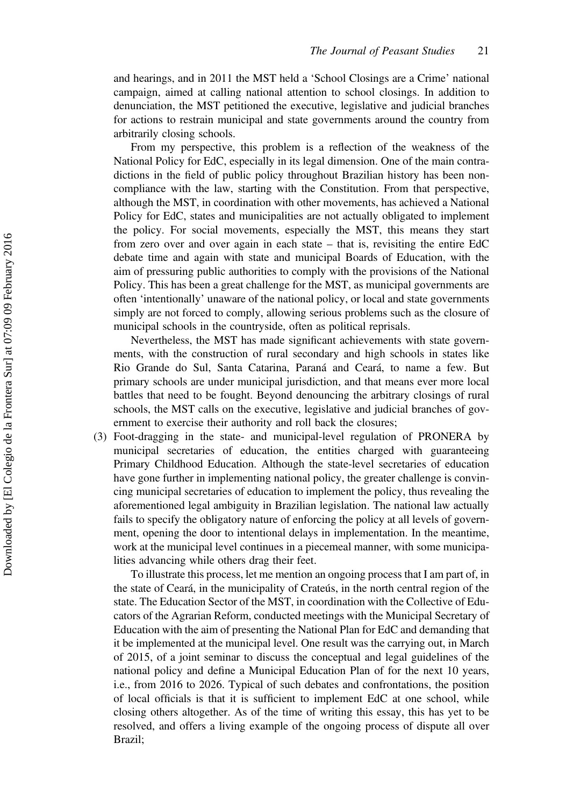and hearings, and in 2011 the MST held a 'School Closings are a Crime' national campaign, aimed at calling national attention to school closings. In addition to denunciation, the MST petitioned the executive, legislative and judicial branches for actions to restrain municipal and state governments around the country from arbitrarily closing schools.

From my perspective, this problem is a reflection of the weakness of the National Policy for EdC, especially in its legal dimension. One of the main contradictions in the field of public policy throughout Brazilian history has been noncompliance with the law, starting with the Constitution. From that perspective, although the MST, in coordination with other movements, has achieved a National Policy for EdC, states and municipalities are not actually obligated to implement the policy. For social movements, especially the MST, this means they start from zero over and over again in each state – that is, revisiting the entire EdC debate time and again with state and municipal Boards of Education, with the aim of pressuring public authorities to comply with the provisions of the National Policy. This has been a great challenge for the MST, as municipal governments are often 'intentionally' unaware of the national policy, or local and state governments simply are not forced to comply, allowing serious problems such as the closure of municipal schools in the countryside, often as political reprisals.

Nevertheless, the MST has made significant achievements with state governments, with the construction of rural secondary and high schools in states like Rio Grande do Sul, Santa Catarina, Paraná and Ceará, to name a few. But primary schools are under municipal jurisdiction, and that means ever more local battles that need to be fought. Beyond denouncing the arbitrary closings of rural schools, the MST calls on the executive, legislative and judicial branches of government to exercise their authority and roll back the closures;

(3) Foot-dragging in the state- and municipal-level regulation of PRONERA by municipal secretaries of education, the entities charged with guaranteeing Primary Childhood Education. Although the state-level secretaries of education have gone further in implementing national policy, the greater challenge is convincing municipal secretaries of education to implement the policy, thus revealing the aforementioned legal ambiguity in Brazilian legislation. The national law actually fails to specify the obligatory nature of enforcing the policy at all levels of government, opening the door to intentional delays in implementation. In the meantime, work at the municipal level continues in a piecemeal manner, with some municipalities advancing while others drag their feet.

To illustrate this process, let me mention an ongoing process that I am part of, in the state of Ceará, in the municipality of Crateús, in the north central region of the state. The Education Sector of the MST, in coordination with the Collective of Educators of the Agrarian Reform, conducted meetings with the Municipal Secretary of Education with the aim of presenting the National Plan for EdC and demanding that it be implemented at the municipal level. One result was the carrying out, in March of 2015, of a joint seminar to discuss the conceptual and legal guidelines of the national policy and define a Municipal Education Plan of for the next 10 years, i.e., from 2016 to 2026. Typical of such debates and confrontations, the position of local officials is that it is sufficient to implement EdC at one school, while closing others altogether. As of the time of writing this essay, this has yet to be resolved, and offers a living example of the ongoing process of dispute all over Brazil;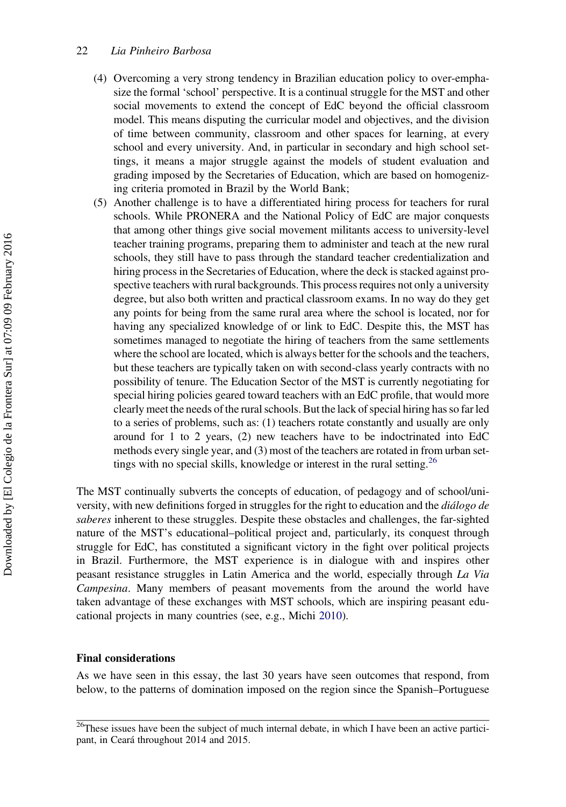#### <span id="page-22-0"></span>22 Lia Pinheiro Barbosa

- (4) Overcoming a very strong tendency in Brazilian education policy to over-emphasize the formal 'school' perspective. It is a continual struggle for the MST and other social movements to extend the concept of EdC beyond the official classroom model. This means disputing the curricular model and objectives, and the division of time between community, classroom and other spaces for learning, at every school and every university. And, in particular in secondary and high school settings, it means a major struggle against the models of student evaluation and grading imposed by the Secretaries of Education, which are based on homogenizing criteria promoted in Brazil by the World Bank;
- (5) Another challenge is to have a differentiated hiring process for teachers for rural schools. While PRONERA and the National Policy of EdC are major conquests that among other things give social movement militants access to university-level teacher training programs, preparing them to administer and teach at the new rural schools, they still have to pass through the standard teacher credentialization and hiring process in the Secretaries of Education, where the deck is stacked against prospective teachers with rural backgrounds. This process requires not only a university degree, but also both written and practical classroom exams. In no way do they get any points for being from the same rural area where the school is located, nor for having any specialized knowledge of or link to EdC. Despite this, the MST has sometimes managed to negotiate the hiring of teachers from the same settlements where the school are located, which is always better for the schools and the teachers, but these teachers are typically taken on with second-class yearly contracts with no possibility of tenure. The Education Sector of the MST is currently negotiating for special hiring policies geared toward teachers with an EdC profile, that would more clearly meet the needs of the rural schools. But the lack of special hiring has so far led to a series of problems, such as: (1) teachers rotate constantly and usually are only around for 1 to 2 years, (2) new teachers have to be indoctrinated into EdC methods every single year, and (3) most of the teachers are rotated in from urban settings with no special skills, knowledge or interest in the rural setting.<sup>26</sup>

The MST continually subverts the concepts of education, of pedagogy and of school/university, with new definitions forged in struggles for the right to education and the diálogo de saberes inherent to these struggles. Despite these obstacles and challenges, the far-sighted nature of the MST's educational–political project and, particularly, its conquest through struggle for EdC, has constituted a significant victory in the fight over political projects in Brazil. Furthermore, the MST experience is in dialogue with and inspires other peasant resistance struggles in Latin America and the world, especially through La Via Campesina. Many members of peasant movements from the around the world have taken advantage of these exchanges with MST schools, which are inspiring peasant educational projects in many countries (see, e.g., Michi [2010](#page-25-0)).

#### Final considerations

As we have seen in this essay, the last 30 years have seen outcomes that respond, from below, to the patterns of domination imposed on the region since the Spanish–Portuguese

<sup>&</sup>lt;sup>26</sup>These issues have been the subject of much internal debate, in which I have been an active participant, in Ceará throughout 2014 and 2015.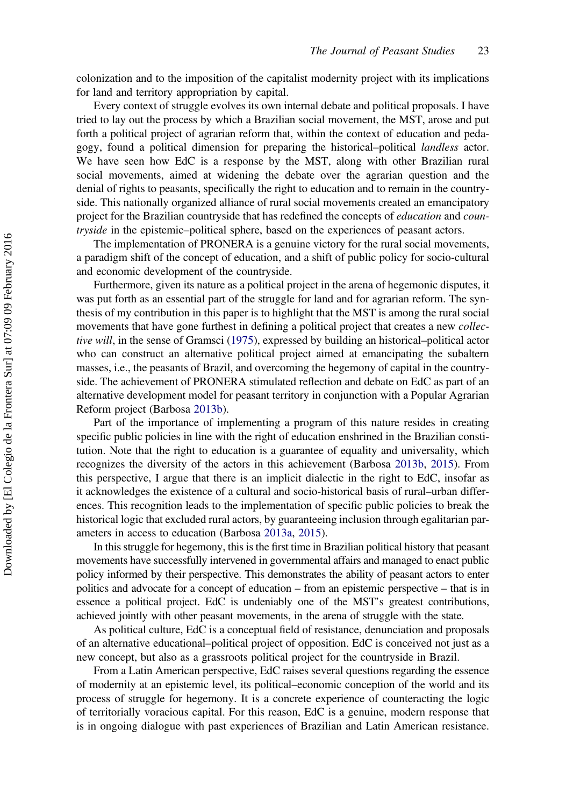<span id="page-23-0"></span>colonization and to the imposition of the capitalist modernity project with its implications for land and territory appropriation by capital.

Every context of struggle evolves its own internal debate and political proposals. I have tried to lay out the process by which a Brazilian social movement, the MST, arose and put forth a political project of agrarian reform that, within the context of education and pedagogy, found a political dimension for preparing the historical–political landless actor. We have seen how EdC is a response by the MST, along with other Brazilian rural social movements, aimed at widening the debate over the agrarian question and the denial of rights to peasants, specifically the right to education and to remain in the countryside. This nationally organized alliance of rural social movements created an emancipatory project for the Brazilian countryside that has redefined the concepts of education and countryside in the epistemic–political sphere, based on the experiences of peasant actors.

The implementation of PRONERA is a genuine victory for the rural social movements, a paradigm shift of the concept of education, and a shift of public policy for socio-cultural and economic development of the countryside.

Furthermore, given its nature as a political project in the arena of hegemonic disputes, it was put forth as an essential part of the struggle for land and for agrarian reform. The synthesis of my contribution in this paper is to highlight that the MST is among the rural social movements that have gone furthest in defining a political project that creates a new *collec*tive will, in the sense of Gramsci [\(1975](#page-25-0)), expressed by building an historical–political actor who can construct an alternative political project aimed at emancipating the subaltern masses, i.e., the peasants of Brazil, and overcoming the hegemony of capital in the countryside. The achievement of PRONERA stimulated reflection and debate on EdC as part of an alternative development model for peasant territory in conjunction with a Popular Agrarian Reform project (Barbosa [2013b](#page-24-0)).

Part of the importance of implementing a program of this nature resides in creating specific public policies in line with the right of education enshrined in the Brazilian constitution. Note that the right to education is a guarantee of equality and universality, which recognizes the diversity of the actors in this achievement (Barbosa [2013b](#page-24-0), [2015\)](#page-24-0). From this perspective, I argue that there is an implicit dialectic in the right to EdC, insofar as it acknowledges the existence of a cultural and socio-historical basis of rural–urban differences. This recognition leads to the implementation of specific public policies to break the historical logic that excluded rural actors, by guaranteeing inclusion through egalitarian parameters in access to education (Barbosa [2013a,](#page-24-0) [2015](#page-24-0)).

In this struggle for hegemony, this is the first time in Brazilian political history that peasant movements have successfully intervened in governmental affairs and managed to enact public policy informed by their perspective. This demonstrates the ability of peasant actors to enter politics and advocate for a concept of education – from an epistemic perspective – that is in essence a political project. EdC is undeniably one of the MST's greatest contributions, achieved jointly with other peasant movements, in the arena of struggle with the state.

As political culture, EdC is a conceptual field of resistance, denunciation and proposals of an alternative educational–political project of opposition. EdC is conceived not just as a new concept, but also as a grassroots political project for the countryside in Brazil.

From a Latin American perspective, EdC raises several questions regarding the essence of modernity at an epistemic level, its political–economic conception of the world and its process of struggle for hegemony. It is a concrete experience of counteracting the logic of territorially voracious capital. For this reason, EdC is a genuine, modern response that is in ongoing dialogue with past experiences of Brazilian and Latin American resistance.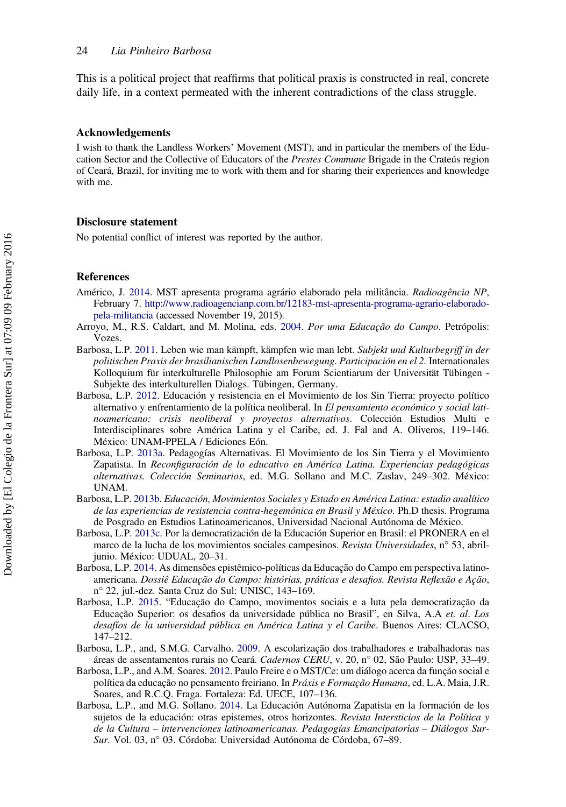<span id="page-24-0"></span>This is a political project that reaffirms that political praxis is constructed in real, concrete daily life, in a context permeated with the inherent contradictions of the class struggle.

#### Acknowledgements

I wish to thank the Landless Workers' Movement (MST), and in particular the members of the Education Sector and the Collective of Educators of the Prestes Commune Brigade in the Crateús region of Ceará, Brazil, for inviting me to work with them and for sharing their experiences and knowledge with me.

#### Disclosure statement

No potential conflict of interest was reported by the author.

#### **References**

- Américo, J. [2014.](#page-5-0) MST apresenta programa agrário elaborado pela militância. Radioagência NP, February 7. [http://www.radioagencianp.com.br/12183-mst-apresenta-programa-agrario-elaborado](http://www.radioagencianp.com.br/12183-mst-apresenta-programa-agrario-elaborado-pela-militancia)[pela-militancia](http://www.radioagencianp.com.br/12183-mst-apresenta-programa-agrario-elaborado-pela-militancia) (accessed November 19, 2015).
- Arroyo, M., R.S. Caldart, and M. Molina, eds. [2004.](#page-14-0) Por uma Educação do Campo. Petrópolis: Vozes.
- Barbosa, L.P. [2011.](#page-6-0) Leben wie man kämpft, kämpfen wie man lebt. Subjekt und Kulturbegriff in der politischen Praxis der brasilianischen Landlosenbewegung. Participación en el 2. Internationales Kolloquium für interkulturelle Philosophie am Forum Scientiarum der Universität Tübingen - Subjekte des interkulturellen Dialogs. Tübingen, Germany.
- Barbosa, L.P. [2012.](#page-5-0) Educación y resistencia en el Movimiento de los Sin Tierra: proyecto político alternativo y enfrentamiento de la política neoliberal. In El pensamiento económico y social latinoamericano: crisis neoliberal y proyectos alternativos. Colección Estudios Multi e Interdisciplinares sobre América Latina y el Caribe, ed. J. Fal and A. Oliveros, 119–146. México: UNAM-PPELA / Ediciones Eón.
- Barbosa, L.P. [2013a.](#page-9-0) Pedagogías Alternativas. El Movimiento de los Sin Tierra y el Movimiento Zapatista. In Reconfiguración de lo educativo en América Latina. Experiencias pedagógicas alternativas. Colección Seminarios, ed. M.G. Sollano and M.C. Zaslav, 249–302. México: UNAM.
- Barbosa, L.P. [2013b](#page-3-0). Educación, Movimientos Sociales y Estado en América Latina: estudio analítico de las experiencias de resistencia contra-hegemónica en Brasil y México. Ph.D thesis. Programa de Posgrado en Estudios Latinoamericanos, Universidad Nacional Autónoma de México.
- Barbosa, L.P. [2013c](#page-11-0). Por la democratización de la Educación Superior en Brasil: el PRONERA en el marco de la lucha de los movimientos sociales campesinos. Revista Universidades, n° 53, abriljunio. México: UDUAL, 20–31.
- Barbosa, L.P. [2014.](#page-3-0) As dimensões epistêmico-políticas da Educação do Campo em perspectiva latinoamericana. Dossiê Educação do Campo: histórias, práticas e desafios. Revista Reflexão e Ação, n° 22, jul.-dez. Santa Cruz do Sul: UNISC, 143–169.
- Barbosa, L.P. [2015.](#page-3-0) "Educação do Campo, movimentos sociais e a luta pela democratização da Educação Superior: os desafios da universidade pública no Brasil", en Silva, A.A et. al. Los desafíos de la universidad pública en América Latina y el Caribe. Buenos Aires: CLACSO, 147–212.
- Barbosa, L.P., and, S.M.G. Carvalho. [2009.](#page-18-0) A escolarização dos trabalhadores e trabalhadoras nas áreas de assentamentos rurais no Ceará. Cadernos CERU, v. 20, n° 02, São Paulo: USP, 33–49.
- Barbosa, L.P., and A.M. Soares. [2012.](#page-8-0) Paulo Freire e o MST/Ce: um diálogo acerca da função social e política da educação no pensamento freiriano. In Práxis e Formação Humana, ed. L.A. Maia, J.R. Soares, and R.C.Q. Fraga. Fortaleza: Ed. UECE, 107–136.
- Barbosa, L.P., and M.G. Sollano. [2014.](#page-2-0) La Educación Autónoma Zapatista en la formación de los sujetos de la educación: otras epistemes, otros horizontes. Revista Intersticios de la Política y de la Cultura – intervenciones latinoamericanas. Pedagogías Emancipatorias – Diálogos Sur-Sur. Vol. 03, n° 03. Córdoba: Universidad Autónoma de Córdoba, 67–89.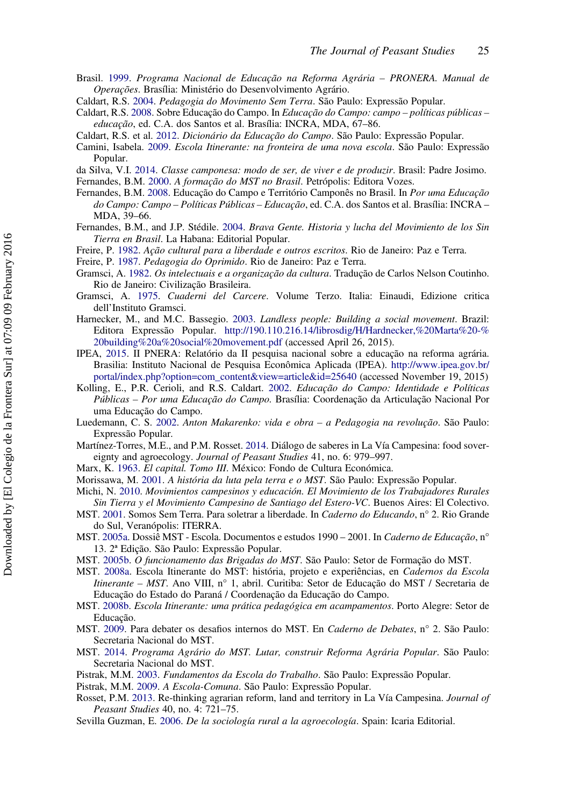- <span id="page-25-0"></span>Brasil. [1999](#page-18-0). Programa Nacional de Educação na Reforma Agrária – PRONERA. Manual de Operações. Brasília: Ministério do Desenvolvimento Agrário.
- Caldart, R.S. [2004.](#page-8-0) Pedagogia do Movimento Sem Terra. São Paulo: Expressão Popular.
- Caldart, R.S. [2008](#page-12-0). Sobre Educação do Campo. In Educação do Campo: campo políticas públicas educação, ed. C.A. dos Santos et al. Brasília: INCRA, MDA, 67–86.
- Caldart, R.S. et al. [2012](#page-12-0). Dicionário da Educação do Campo. São Paulo: Expressão Popular.
- Camini, Isabela. [2009.](#page-9-0) Escola Itinerante: na fronteira de uma nova escola. São Paulo: Expressão Popular.
- da Silva, V.I. [2014](#page-6-0). Classe camponesa: modo de ser, de viver e de produzir. Brasil: Padre Josimo.
- Fernandes, B.M. [2000](#page-4-0). A formação do MST no Brasil. Petrópolis: Editora Vozes.
- Fernandes, B.M. [2008.](#page-15-0) Educação do Campo e Território Camponês no Brasil. In Por uma Educação do Campo: Campo – Políticas Públicas – Educação, ed. C.A. dos Santos et al. Brasília: INCRA – MDA, 39–66.
- Fernandes, B.M., and J.P. Stédile. [2004.](#page-4-0) Brava Gente. Historia y lucha del Movimiento de los Sin Tierra en Brasil. La Habana: Editorial Popular.
- Freire, P. [1982.](#page-7-0) Ação cultural para a liberdade e outros escritos. Rio de Janeiro: Paz e Terra.
- Freire, P. [1987.](#page-7-0) Pedagogia do Oprimido. Rio de Janeiro: Paz e Terra.
- Gramsci, A. [1982](#page-8-0). Os intelectuais e a organização da cultura. Tradução de Carlos Nelson Coutinho. Rio de Janeiro: Civilização Brasileira.
- Gramsci, A. [1975.](#page-23-0) Cuaderni del Carcere. Volume Terzo. Italia: Einaudi, Edizione critica dell'Instituto Gramsci.
- Harnecker, M., and M.C. Bassegio. [2003.](#page-4-0) *Landless people: Building a social movement*. Brazil: Editora Expressão Popular. [http://190.110.216.14/librosdig/H/Hardnecker,%20Marta%20-%](http://190.110.216.14/librosdig/H/Hardnecker,%20Marta%20-%20building%20a%20social%20movement.pdf) [20building%20a%20social%20movement.pdf](http://190.110.216.14/librosdig/H/Hardnecker,%20Marta%20-%20building%20a%20social%20movement.pdf) (accessed April 26, 2015).
- IPEA, [2015](#page-19-0). II PNERA: Relatório da II pesquisa nacional sobre a educação na reforma agrária. Brasilia: Instituto Nacional de Pesquisa Econômica Aplicada (IPEA). [http://www.ipea.gov.br/](http://www.ipea.gov.br/portal/index.php?option=com_content&view=article&id=25640) [portal/index.php?option=com\\_content&view=article&id=25640](http://www.ipea.gov.br/portal/index.php?option=com_content&view=article&id=25640) (accessed November 19, 2015)
- Kolling, E., P.R. Cerioli, and R.S. Caldart. [2002](#page-3-0). Educação do Campo: Identidade e Políticas Públicas – Por uma Educação do Campo. Brasília: Coordenação da Articulação Nacional Por uma Educação do Campo.
- Luedemann, C. S. [2002](#page-8-0). Anton Makarenko: vida e obra a Pedagogia na revolução. São Paulo: Expressão Popular.
- Martínez-Torres, M.E., and P.M. Rosset. [2014](#page-13-0). Diálogo de saberes in La Vía Campesina: food sovereignty and agroecology. Journal of Peasant Studies 41, no. 6: 979–997.
- Marx, K. [1963](#page-6-0). El capital. Tomo III. México: Fondo de Cultura Económica.
- Morissawa, M. [2001.](#page-4-0) A história da luta pela terra e o MST. São Paulo: Expressão Popular.
- Michi, N. [2010](#page-22-0). Movimientos campesinos y educación. El Movimiento de los Trabajadores Rurales Sin Tierra y el Movimiento Campesino de Santiago del Estero-VC. Buenos Aires: El Colectivo.
- MST. [2001](#page-9-0). Somos Sem Terra. Para soletrar a liberdade. In Caderno do Educando, n° 2. Rio Grande do Sul, Veranópolis: ITERRA.
- MST. [2005a](#page-2-0). Dossiê MST Escola. Documentos e estudos 1990 2001. In Caderno de Educação, n° 13. 2ª Edição. São Paulo: Expressão Popular.
- MST. [2005b](#page-10-0). O funcionamento das Brigadas do MST. São Paulo: Setor de Formação do MST.
- MST. [2008a.](#page-8-0) Escola Itinerante do MST: história, projeto e experiências, en Cadernos da Escola Itinerante – MST. Ano VIII, n° 1, abril. Curitiba: Setor de Educação do MST / Secretaria de Educação do Estado do Paraná / Coordenação da Educação do Campo.
- MST. [2008b](#page-9-0). Escola Itinerante: uma prática pedagógica em acampamentos. Porto Alegre: Setor de Educação.
- MST. [2009](#page-10-0). Para debater os desafios internos do MST. En Caderno de Debates, n° 2. São Paulo: Secretaria Nacional do MST.
- MST. [2014.](#page-5-0) Programa Agrário do MST. Lutar, construir Reforma Agrária Popular. São Paulo: Secretaria Nacional do MST.
- Pistrak, M.M. [2003](#page-8-0). Fundamentos da Escola do Trabalho. São Paulo: Expressão Popular.
- Pistrak, M.M. [2009](#page-8-0). A Escola-Comuna. São Paulo: Expressão Popular.
- Rosset, P.M. [2013](#page-5-0). Re-thinking agrarian reform, land and territory in La Vía Campesina. Journal of Peasant Studies 40, no. 4: 721–75.
- Sevilla Guzman, E. [2006.](#page-6-0) De la sociología rural a la agroecología. Spain: Icaria Editorial.